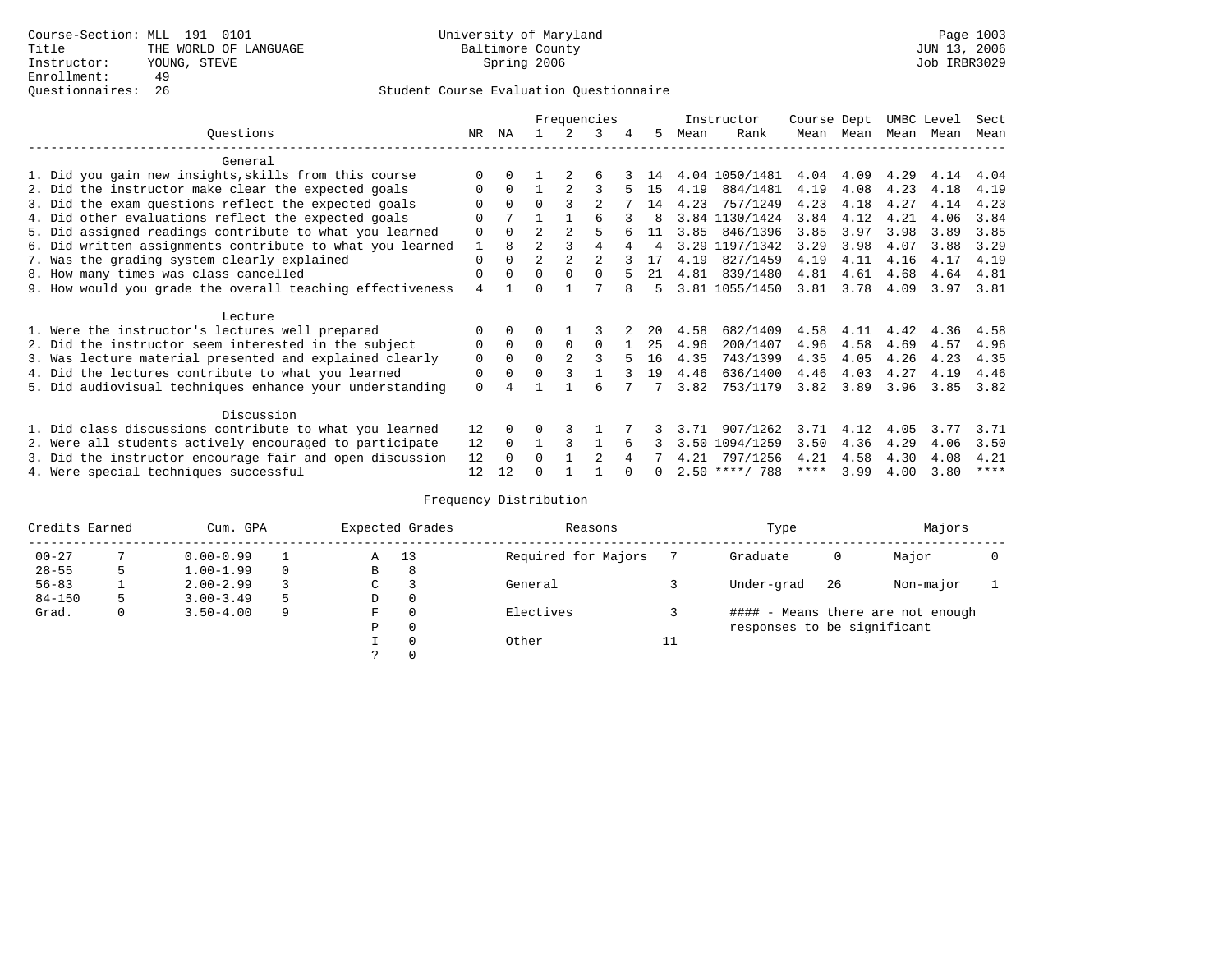|                                                           |                |                      |                |          | Frequencies    |   |              |      | Instructor       | Course Dept |      | UMBC Level |      | Sect        |
|-----------------------------------------------------------|----------------|----------------------|----------------|----------|----------------|---|--------------|------|------------------|-------------|------|------------|------|-------------|
| Ouestions                                                 | NR.            | ΝA                   |                |          | 3              | 4 | 5.           | Mean | Rank             | Mean        | Mean | Mean       | Mean | Mean        |
| General                                                   |                |                      |                |          |                |   |              |      |                  |             |      |            |      |             |
| 1. Did you gain new insights, skills from this course     | $\Omega$       | <sup>n</sup>         |                |          | б              |   | 14           |      | 4.04 1050/1481   | 4.04        | 4.09 | 4.29       | 4.14 | 4.04        |
| 2. Did the instructor make clear the expected goals       | 0              | $\Omega$             |                |          |                |   | 15           | 4.19 | 884/1481         | 4.19        | 4.08 | 4.23       | 4.18 | 4.19        |
| 3. Did the exam questions reflect the expected goals      |                | $\Omega$             | $\Omega$       |          | $\mathfrak{D}$ |   | 14           | 4.23 | 757/1249         | 4.23        | 4.18 | 4.27       | 4.14 | 4.23        |
| 4. Did other evaluations reflect the expected goals       | $\Omega$       |                      |                |          | ศ              |   | <sup>8</sup> |      | 3.84 1130/1424   | 3.84        | 4.12 | 4.21       | 4.06 | 3.84        |
| 5. Did assigned readings contribute to what you learned   | $\mathbf 0$    | $\Omega$             | $\mathfrak{D}$ |          |                |   | 11           | 3.85 | 846/1396         | 3.85        | 3.97 | 3.98       | 3.89 | 3.85        |
| 6. Did written assignments contribute to what you learned | 1              | 8                    | $\mathfrak{D}$ |          |                |   | 4            |      | 3.29 1197/1342   | 3.29        | 3.98 | 4.07       | 3.88 | 3.29        |
| 7. Was the grading system clearly explained               | $\Omega$       | $\Omega$             |                |          |                |   |              | 4.19 | 827/1459         | 4.19        | 4.11 | 4.16       | 4.17 | 4.19        |
| 8. How many times was class cancelled                     | 0              | $\Omega$             | $\Omega$       | $\Omega$ | $\cap$         |   | 21           | 4.81 | 839/1480         | 4.81        | 4.61 | 4.68       | 4.64 | 4.81        |
| 9. How would you grade the overall teaching effectiveness | $\overline{4}$ |                      | U              |          |                |   | 5            |      | 3.81 1055/1450   | 3.81        | 3.78 | 4.09       | 3.97 | 3.81        |
| Lecture                                                   |                |                      |                |          |                |   |              |      |                  |             |      |            |      |             |
| 1. Were the instructor's lectures well prepared           | $\Omega$       |                      |                |          |                |   | 20           | 4.58 | 682/1409         | 4.58        | 4.11 | 4.42       | 4.36 | 4.58        |
| 2. Did the instructor seem interested in the subject      | 0              | $\Omega$             | $\Omega$       | $\Omega$ | $\Omega$       |   | 25           | 4.96 | 200/1407         | 4.96        | 4.58 | 4.69       | 4.57 | 4.96        |
| 3. Was lecture material presented and explained clearly   | $\mathbf 0$    | $\Omega$             | $\Omega$       |          |                |   | 16           | 4.35 | 743/1399         | 4.35        | 4.05 | 4.26       | 4.23 | 4.35        |
| 4. Did the lectures contribute to what you learned        | 0              | $\Omega$             | $\Omega$       |          |                |   | 19           | 4.46 | 636/1400         | 4.46        | 4.03 | 4.27       | 4.19 | 4.46        |
| 5. Did audiovisual techniques enhance your understanding  | $\Omega$       |                      |                |          | 6              |   |              | 3.82 | 753/1179         | 3.82        | 3.89 | 3.96       | 3.85 | 3.82        |
| Discussion                                                |                |                      |                |          |                |   |              |      |                  |             |      |            |      |             |
| 1. Did class discussions contribute to what you learned   | 12             | $\Omega$             | U              |          |                |   |              | 3.71 | 907/1262         | 3.71        | 4.12 | 4.05       | 3.77 | 3.71        |
| 2. Were all students actively encouraged to participate   |                |                      |                |          |                | 6 |              | 3.50 | 1094/1259        | 3.50        | 4.36 | 4.29       | 4.06 | 3.50        |
| 3. Did the instructor encourage fair and open discussion  | 12<br>12       | $\Omega$<br>$\Omega$ | 0              |          | $\mathcal{D}$  |   |              | 4.21 | 797/1256         | 4.21        | 4.58 | 4.30       | 4.08 | 4.21        |
| 4. Were special techniques successful                     | 12             | 12                   |                |          |                |   | <sup>n</sup> |      | $2.50$ ****/ 788 | ****        | 3.99 | 4.00       | 3.80 | $***$ * * * |

| Credits Earned |   | Cum. GPA      |    |             | Expected Grades | Reasons             |    | Type                        |     | Majors                            |  |
|----------------|---|---------------|----|-------------|-----------------|---------------------|----|-----------------------------|-----|-----------------------------------|--|
| $00 - 27$      |   | $0.00 - 0.99$ |    | Α           | 13              | Required for Majors |    | Graduate                    | 0   | Major                             |  |
| $28 - 55$      | 5 | $1.00 - 1.99$ |    | В           | 8               |                     |    |                             |     |                                   |  |
| $56 - 83$      |   | $2.00 - 2.99$ |    | $\sim$<br>◡ |                 | General             |    | Under-grad                  | -26 | Non-major                         |  |
| $84 - 150$     | 5 | $3.00 - 3.49$ | .5 | D           | 0               |                     |    |                             |     |                                   |  |
| Grad.          | 0 | $3.50 - 4.00$ | 9  | F           | 0               | Electives           |    |                             |     | #### - Means there are not enough |  |
|                |   |               |    | Ρ           | 0               |                     |    | responses to be significant |     |                                   |  |
|                |   |               |    |             | $\Omega$        | Other               | ⊥⊥ |                             |     |                                   |  |
|                |   |               |    |             |                 |                     |    |                             |     |                                   |  |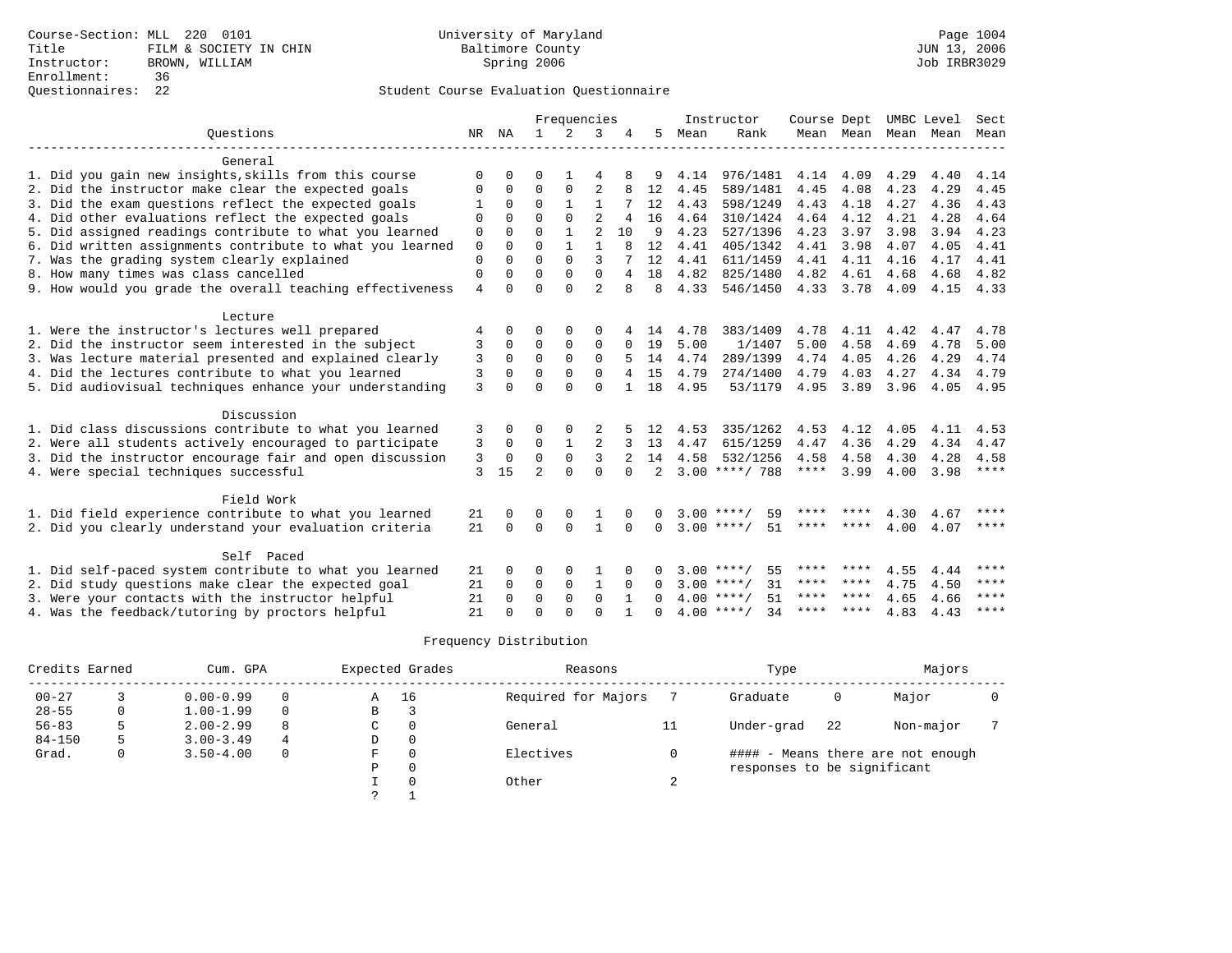|                                                           |             |             |                | Frequencies |                |          |               |      | Instructor         | Course Dept |                |      | UMBC Level | Sect        |
|-----------------------------------------------------------|-------------|-------------|----------------|-------------|----------------|----------|---------------|------|--------------------|-------------|----------------|------|------------|-------------|
| Ouestions                                                 | NR          | ΝA          | $\mathbf{1}$   | 2           | 3              |          | 5             | Mean | Rank               |             | Mean Mean Mean |      | Mean       | Mean        |
|                                                           |             |             |                |             |                |          |               |      |                    |             |                |      |            |             |
| General                                                   |             |             |                |             |                |          |               |      |                    |             |                |      |            |             |
| 1. Did you gain new insights, skills from this course     | $\Omega$    |             | ∩              |             |                |          |               | 4.14 | 976/1481           | 4.14        | 4.09           | 4.29 | 4.40       | 4.14        |
| 2. Did the instructor make clear the expected goals       | 0           | $\Omega$    | $\Omega$       | $\Omega$    | $\overline{2}$ |          | 12            | 4.45 | 589/1481           | 4.45        | 4.08           | 4.23 | 4.29       | 4.45        |
| 3. Did the exam questions reflect the expected goals      |             | $\Omega$    | $\Omega$       |             |                |          | 12            | 4.43 | 598/1249           | 4.43        | 4.18           | 4.27 | 4.36       | 4.43        |
| 4. Did other evaluations reflect the expected goals       | $\Omega$    | $\Omega$    | $\Omega$       | $\Omega$    | 2              | 4        | 16            | 4.64 | 310/1424           | 4.64        | 4.12           | 4.21 | 4.28       | 4.64        |
| 5. Did assigned readings contribute to what you learned   | 0           |             | $\Omega$       |             | 2              | 10       | 9             | 4.23 | 527/1396           | 4.23        | 3.97           | 3.98 | 3.94       | 4.23        |
| 6. Did written assignments contribute to what you learned | $\mathbf 0$ | $\Omega$    | $\Omega$       |             | 1              | 8        | 12            | 4.41 | 405/1342           | 4.41        | 3.98           | 4.07 | 4.05       | 4.41        |
| 7. Was the grading system clearly explained               | $\mathbf 0$ | $\Omega$    | $\Omega$       | $\Omega$    | 3              |          | 12            | 4.41 | 611/1459           | 4.41        | 4.11           | 4.16 | 4.17       | 4.41        |
| 8. How many times was class cancelled                     | $\mathbf 0$ | $\Omega$    | $\Omega$       | $\Omega$    | $\Omega$       | 4        | 18            | 4.82 | 825/1480           | 4.82        | 4.61           | 4.68 | 4.68       | 4.82        |
| 9. How would you grade the overall teaching effectiveness | 4           | $\cap$      | $\Omega$       | $\cap$      | $\overline{2}$ | 8        | 8             | 4.33 | 546/1450           | 4.33        | 3.78           | 4.09 | 4.15       | 4.33        |
| Lecture                                                   |             |             |                |             |                |          |               |      |                    |             |                |      |            |             |
| 1. Were the instructor's lectures well prepared           | 4           | 0           | O              | 0           | 0              |          | 14            | 4.78 | 383/1409           | 4.78        | 4.11           | 4.42 | 4.47       | 4.78        |
| 2. Did the instructor seem interested in the subject      | 3           | $\Omega$    | $\Omega$       | $\mathbf 0$ | $\Omega$       | $\Omega$ | 19            | 5.00 | 1/1407             | 5.00        | 4.58           | 4.69 | 4.78       | 5.00        |
| 3. Was lecture material presented and explained clearly   | 3           | $\Omega$    | $\Omega$       | $\Omega$    | $\Omega$       |          | 14            | 4.74 | 289/1399           | 4.74        | 4.05           | 4.26 | 4.29       | 4.74        |
| 4. Did the lectures contribute to what you learned        | 3           | $\Omega$    | $\Omega$       | $\Omega$    | $\Omega$       | 4        | 15            | 4.79 | 274/1400           | 4.79        | 4.03           | 4.27 | 4.34       | 4.79        |
| 5. Did audiovisual techniques enhance your understanding  | 3           | $\cap$      | $\cap$         | $\cap$      | $\cap$         |          | 18            | 4.95 | 53/1179            | 4.95        | 3.89           | 3.96 | 4.05       | 4.95        |
|                                                           |             |             |                |             |                |          |               |      |                    |             |                |      |            |             |
| Discussion                                                |             |             |                |             |                |          |               |      |                    |             |                |      |            |             |
| 1. Did class discussions contribute to what you learned   | 3           | $\Omega$    | ∩              |             |                |          | 12            | 4.53 | 335/1262           | 4.53        | 4.12           | 4.05 | 4.11       | 4.53        |
| 2. Were all students actively encouraged to participate   | 3           | 0           | 0              |             | 2              | 3        | 13            | 4.47 | 615/1259           | 4.47        | 4.36           | 4.29 | 4.34       | 4.47        |
| 3. Did the instructor encourage fair and open discussion  | 3           | $\mathbf 0$ | $\Omega$       | $\Omega$    | 3              | 2        | 14            | 4.58 | 532/1256           | 4.58        | 4.58           | 4.30 | 4.28       | 4.58        |
| 4. Were special techniques successful                     | 3           | 15          | $\mathfrak{D}$ | $\cap$      | $\Omega$       | $\cap$   | $\mathcal{L}$ |      | $3.00$ ****/ 788   | $***$ * * * | 3.99           | 4.00 | 3.98       | $***$ * * * |
| Field Work                                                |             |             |                |             |                |          |               |      |                    |             |                |      |            |             |
| 1. Did field experience contribute to what you learned    | 21          | 0           | 0              | 0           |                |          |               |      | 59<br>$3.00$ ****/ | ****        |                | 4.30 | 4.67       | ****        |
| 2. Did you clearly understand your evaluation criteria    | 21          | $\Omega$    | $\Omega$       | $\Omega$    | $\mathbf{1}$   | $\Omega$ | $\Omega$      |      | 51<br>$3.00$ ****/ | ****        | ****           | 4.00 | 4.07       | ****        |
|                                                           |             |             |                |             |                |          |               |      |                    |             |                |      |            |             |
| Self Paced                                                |             |             |                |             |                |          |               |      |                    |             |                |      |            |             |
| 1. Did self-paced system contribute to what you learned   | 21          |             | $\Omega$       |             |                |          |               |      | $3.00$ ****/<br>55 | ****        | ****           | 4.55 | 4.44       | ****        |
| 2. Did study questions make clear the expected goal       | 21          | 0           | 0              | $\mathbf 0$ |                | $\Omega$ | $\Omega$      |      | $3.00$ ****/<br>31 | ****        | ****           | 4.75 | 4.50       | $***$ * * * |
| 3. Were your contacts with the instructor helpful         | 21          | $\Omega$    | 0              | $\Omega$    | $\Omega$       |          | $\cap$        |      | $4.00$ ****/<br>51 | ****        | ****           | 4.65 | 4.66       | $***$ * * * |
| 4. Was the feedback/tutoring by proctors helpful          | 21          | $\Omega$    | $\Omega$       | $\cap$      | $\cap$         |          | $\Omega$      |      | $4.00$ ****/<br>34 | **** ****   |                | 4.83 | 4.43       | $***$ * * * |

| Credits Earned |   | Cum. GPA      |   |               | Expected Grades | Reasons             |    | Type                        |    | Majors                            |  |
|----------------|---|---------------|---|---------------|-----------------|---------------------|----|-----------------------------|----|-----------------------------------|--|
| $00 - 27$      |   | $0.00 - 0.99$ |   | A             | 16              | Required for Majors |    | Graduate                    | 0  | Major                             |  |
| $28 - 55$      |   | $1.00 - 1.99$ |   | В             |                 |                     |    |                             |    |                                   |  |
| $56 - 83$      |   | $2.00 - 2.99$ | 8 | C             | 0               | General             | TT | Under-grad                  | 22 | Non-major                         |  |
| $84 - 150$     |   | $3.00 - 3.49$ | 4 | D             | 0               |                     |    |                             |    |                                   |  |
| Grad.          | 0 | $3.50 - 4.00$ |   | F             | $\Omega$        | Electives           |    |                             |    | #### - Means there are not enough |  |
|                |   |               |   | Ρ             | 0               |                     |    | responses to be significant |    |                                   |  |
|                |   |               |   |               | $\Omega$        | Other               | ∠  |                             |    |                                   |  |
|                |   |               |   | $\mathcal{P}$ |                 |                     |    |                             |    |                                   |  |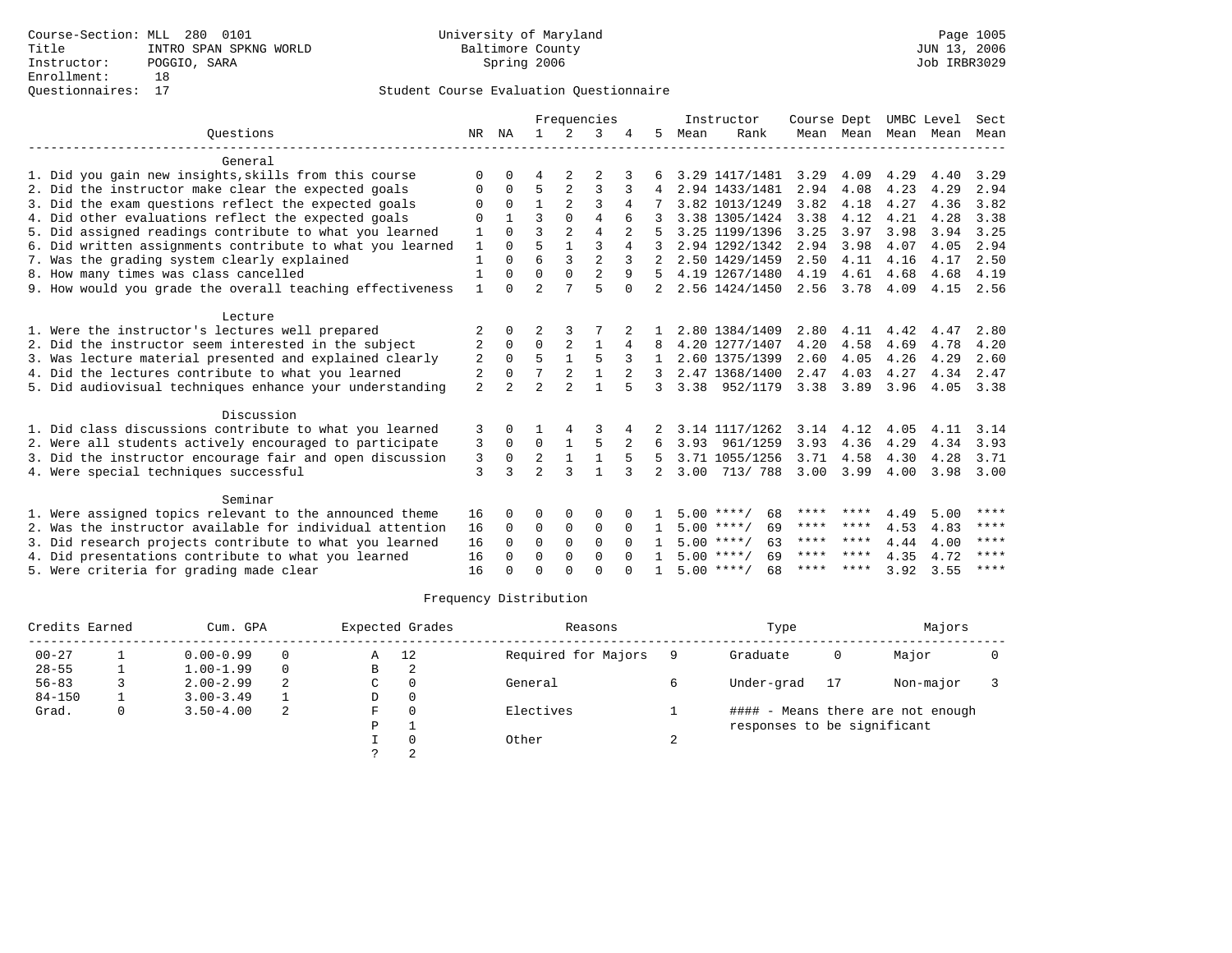|                                                           |                |                |                |                | Frequencies    |          |              |      | Instructor         | Course Dept |           | UMBC Level |      | Sect        |
|-----------------------------------------------------------|----------------|----------------|----------------|----------------|----------------|----------|--------------|------|--------------------|-------------|-----------|------------|------|-------------|
| Ouestions                                                 | NR             | ΝA             | $\mathbf{1}$   | $2^{1}$        | 3              |          | 5.           | Mean | Rank               |             | Mean Mean | Mean Mean  |      | Mean        |
| General                                                   |                |                |                |                |                |          |              |      |                    |             |           |            |      |             |
| 1. Did you gain new insights, skills from this course     | $\Omega$       |                | 4              | 2              |                |          |              |      | 3.29 1417/1481     | 3.29        | 4.09      | 4.29       | 4.40 | 3.29        |
| 2. Did the instructor make clear the expected goals       | $\Omega$       | $\Omega$       | 5              | $\overline{2}$ | 3              | 3        |              |      | 2.94 1433/1481     | 2.94        | 4.08      | 4.23       | 4.29 | 2.94        |
| 3. Did the exam questions reflect the expected goals      | $\Omega$       | $\Omega$       | $\mathbf{1}$   |                | 3              | 4        |              |      | 3.82 1013/1249     | 3.82        | 4.18      | 4.27       | 4.36 | 3.82        |
| 4. Did other evaluations reflect the expected goals       | $\Omega$       |                | ્ર             | $\Omega$       | 4              |          |              |      | 3.38 1305/1424     | 3.38        | 4.12      | 4.21       | 4.28 | 3.38        |
| 5. Did assigned readings contribute to what you learned   | 1              | $\Omega$       | 3              | $\overline{2}$ | $\overline{4}$ |          |              |      | 3.25 1199/1396     | 3.25        | 3.97      | 3.98       | 3.94 | 3.25        |
| 6. Did written assignments contribute to what you learned | 1              | $\Omega$       | 5              |                | 3              | 4        |              |      | 2.94 1292/1342     | 2.94        | 3.98      | 4.07       | 4.05 | 2.94        |
| 7. Was the grading system clearly explained               |                | $\cap$         | 6              | 3              | $\overline{2}$ |          |              |      | 2.50 1429/1459     | 2.50        | 4.11      | 4.16       | 4.17 | 2.50        |
| 8. How many times was class cancelled                     |                | $\Omega$       | $\Omega$       |                | $\overline{2}$ | 9        |              |      | 4.19 1267/1480     | 4.19        | 4.61      | 4.68       | 4.68 | 4.19        |
| 9. How would you grade the overall teaching effectiveness | $\mathbf{1}$   | $\cap$         | $\overline{a}$ | $\mathbf{r}$   | 5              | $\Omega$ |              |      | 2.56 1424/1450     | 2.56        | 3.78      | 4.09       | 4.15 | 2.56        |
| Lecture                                                   |                |                |                |                |                |          |              |      |                    |             |           |            |      |             |
| 1. Were the instructor's lectures well prepared           | 2              |                | 2              | 3              |                |          |              |      | 2.80 1384/1409     | 2.80        | 4.11      | 4.42       | 4.47 | 2.80        |
| 2. Did the instructor seem interested in the subject      | 2              | $\Omega$       | $\mathbf 0$    | 2              | $\mathbf{1}$   | 4        |              |      | 4.20 1277/1407     | 4.20        | 4.58      | 4.69       | 4.78 | 4.20        |
| 3. Was lecture material presented and explained clearly   | 2              | 0              | 5              |                | 5              | 3        |              |      | 2.60 1375/1399     | 2.60        | 4.05      | 4.26       | 4.29 | 2.60        |
| 4. Did the lectures contribute to what you learned        | 2              | $\Omega$       | 7              | 2              | $\mathbf{1}$   | 2        |              |      | 2.47 1368/1400     | 2.47        | 4.03      | 4.27       | 4.34 | 2.47        |
| 5. Did audiovisual techniques enhance your understanding  | $\overline{2}$ | $\overline{2}$ | $\overline{a}$ | $\mathfrak{D}$ |                | 5        | 3            |      | 3.38 952/1179      | 3.38        | 3.89      | 3.96       | 4.05 | 3.38        |
| Discussion                                                |                |                |                |                |                |          |              |      |                    |             |           |            |      |             |
| 1. Did class discussions contribute to what you learned   | 3              |                |                | 4              | 3              | 4        |              |      | 3.14 1117/1262     | 3.14        | 4.12      | 4.05       | 4.11 | 3.14        |
| 2. Were all students actively encouraged to participate   | 3              | $\Omega$       | $\Omega$       |                | 5              |          | 6            | 3.93 | 961/1259           | 3.93        | 4.36      | 4.29       | 4.34 | 3.93        |
| 3. Did the instructor encourage fair and open discussion  | 3              | 0              | 2              |                |                | 5        | .5           |      | 3.71 1055/1256     | 3.71        | 4.58      | 4.30       | 4.28 | 3.71        |
| 4. Were special techniques successful                     | 3              | 3              | $\overline{a}$ | $\mathbf{3}$   |                |          | 2            | 3.00 | 713/ 788           | 3.00        | 3.99      | 4.00       | 3.98 | 3.00        |
| Seminar                                                   |                |                |                |                |                |          |              |      |                    |             |           |            |      |             |
| 1. Were assigned topics relevant to the announced theme   | 16             |                | ∩              | 0              | O              |          |              |      | $5.00$ ****/<br>68 | ****        | ****      | 4.49       | 5.00 | ****        |
| 2. Was the instructor available for individual attention  | 16             | $\Omega$       | $\Omega$       | $\Omega$       | $\Omega$       | $\Omega$ | $\mathbf{1}$ |      | $5.00$ ****/<br>69 | ****        | ****      | 4.53       | 4.83 | ****        |
| 3. Did research projects contribute to what you learned   |                | $\Omega$       | $\Omega$       | $\Omega$       | $\Omega$       |          |              |      | $5.00$ ****/<br>63 | ****        | ****      | 4.44       | 4.00 | $* * * * *$ |
| 4. Did presentations contribute to what you learned       |                | $\Omega$       | $\Omega$       | $\Omega$       | $\Omega$       |          |              |      | $5.00$ ****/<br>69 | ****        | ****      | 4.35       | 4.72 | ****        |
| 5. Were criteria for grading made clear                   | 16             |                | $\Omega$       |                | $\cap$         |          |              |      | $5.00$ ****/<br>68 | ****        | ****      | 3.92       | 3.55 | ****        |

| Credits Earned |   | Cum. GPA      |          |   | Expected Grades | Reasons             |   | Type                        |    | Majors                            |  |
|----------------|---|---------------|----------|---|-----------------|---------------------|---|-----------------------------|----|-----------------------------------|--|
| $00 - 27$      |   | $0.00 - 0.99$ | $\Omega$ | Α | 12              | Required for Majors |   | Graduate                    | 0  | Major                             |  |
| $28 - 55$      |   | $1.00 - 1.99$ | $\Omega$ | B | 2               |                     |   |                             |    |                                   |  |
| $56 - 83$      |   | $2.00 - 2.99$ | 2        | C |                 | General             |   | Under-grad                  | 17 | Non-major                         |  |
| $84 - 150$     |   | $3.00 - 3.49$ |          | D |                 |                     |   |                             |    |                                   |  |
| Grad.          | 0 | $3.50 - 4.00$ | 2        | F |                 | Electives           |   |                             |    | #### - Means there are not enough |  |
|                |   |               |          | P |                 |                     |   | responses to be significant |    |                                   |  |
|                |   |               |          |   | Other           |                     | ∠ |                             |    |                                   |  |
|                |   |               |          |   |                 |                     |   |                             |    |                                   |  |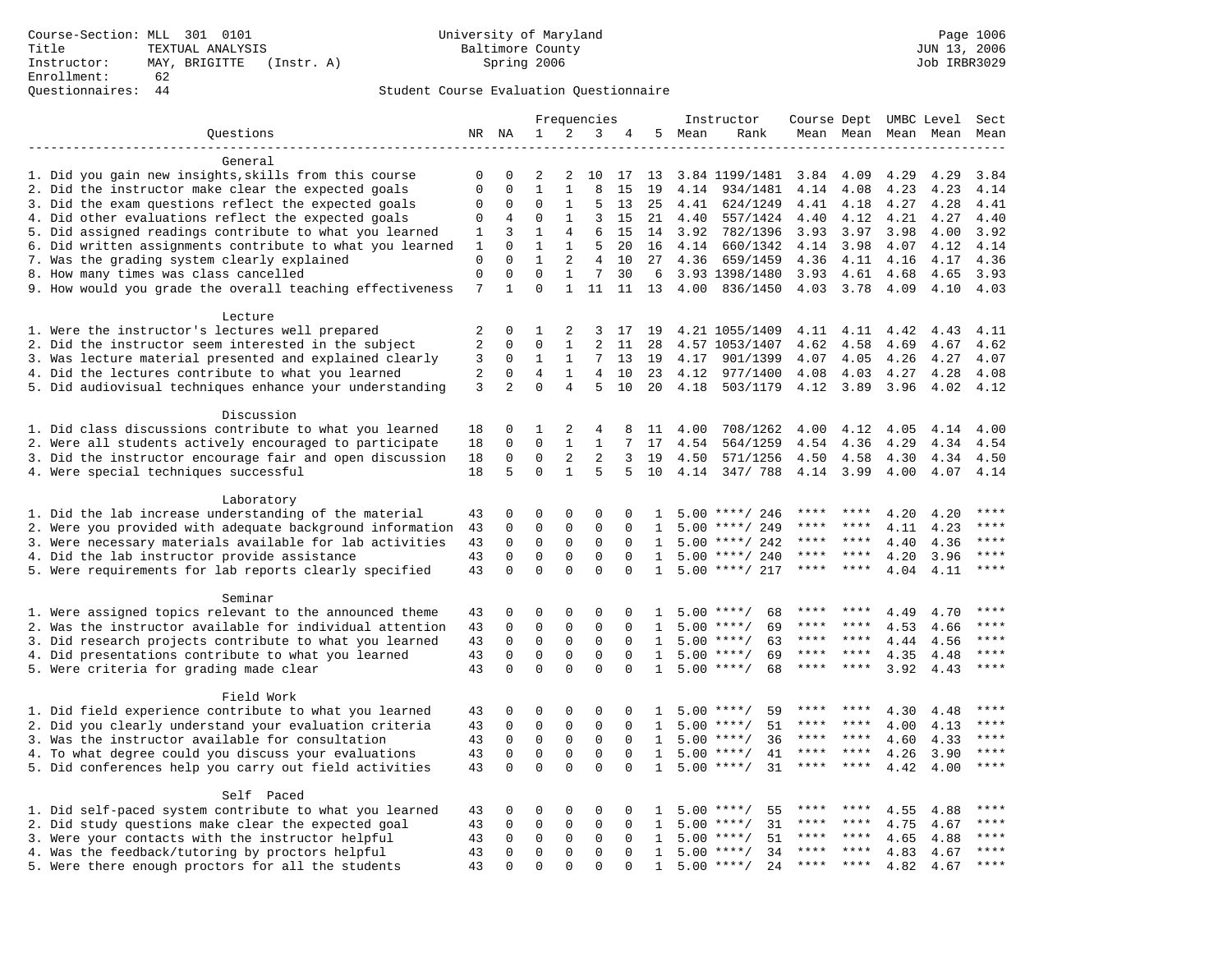Course-Section: MLL 301 0101 University of Maryland Page 1006 Title TEXTUAL ANALYSIS Baltimore County JUN 13, 2006 Instructor: MAY, BRIGITTE (Instr. A)<br>Enrollment: 62 Enrollment:

# Questionnaires: 44 Student Course Evaluation Questionnaire

| Frequencies                                               |                |              |                |                |                |             | Instructor   | Course Dept UMBC Level |                     |             |         | Sect |           |             |
|-----------------------------------------------------------|----------------|--------------|----------------|----------------|----------------|-------------|--------------|------------------------|---------------------|-------------|---------|------|-----------|-------------|
| Questions                                                 |                | NR NA        | 1              | 2              | 3              | 4           | 5            | Mean                   | Rank                | Mean Mean   |         |      | Mean Mean | Mean        |
|                                                           |                |              |                |                |                |             |              |                        |                     |             |         |      |           |             |
| General                                                   |                |              |                |                |                |             |              |                        |                     |             |         |      |           |             |
| 1. Did you gain new insights, skills from this course     | 0              | 0            | $\mathfrak{D}$ | 2              | 10             | 17          | 13           |                        | 3.84 1199/1481      | 3.84        | 4.09    | 4.29 | 4.29      | 3.84        |
| 2. Did the instructor make clear the expected goals       | $\overline{0}$ | $\mathbf 0$  | $\mathbf{1}$   | $\mathbf{1}$   | 8              | 15          | 19           | 4.14                   | 934/1481            | 4.14        | 4.08    | 4.23 | 4.23      | 4.14        |
| 3. Did the exam questions reflect the expected goals      | $\mathbf 0$    | $\mathbf 0$  | $\Omega$       | 1              | 5              | 13          | 25           | 4.41                   | 624/1249            | 4.41        | 4.18    | 4.27 | 4.28      | 4.41        |
| 4. Did other evaluations reflect the expected goals       | 0              | 4            | $\mathbf 0$    | $\mathbf{1}$   | 3              | 15          | 21           | 4.40                   | 557/1424            | 4.40        | 4.12    | 4.21 | 4.27      | 4.40        |
| 5. Did assigned readings contribute to what you learned   | 1              | 3            | 1              | $\overline{4}$ | 6              | 15          | 14           | 3.92                   | 782/1396            | 3.93        | 3.97    | 3.98 | 4.00      | 3.92        |
| 6. Did written assignments contribute to what you learned | 1              | $\mathbf 0$  | $\mathbf{1}$   | 1              | 5              | 20          | 16           | 4.14                   | 660/1342            | 4.14        | 3.98    | 4.07 | 4.12      | 4.14        |
| 7. Was the grading system clearly explained               | $\mathbf 0$    | $\Omega$     | $\mathbf{1}$   | $\overline{a}$ | 4              | 10          | 27           | 4.36                   | 659/1459            | 4.36        | 4.11    | 4.16 | 4.17      | 4.36        |
| 8. How many times was class cancelled                     | $\mathbf 0$    | $\mathbf 0$  | $\mathbf 0$    | 1              | 7              | 30          | 6            |                        | 3.93 1398/1480      | 3.93        | 4.61    | 4.68 | 4.65      | 3.93        |
| 9. How would you grade the overall teaching effectiveness | 7              | $\mathbf{1}$ | $\Omega$       | $\mathbf{1}$   | 11             | 11 13       |              |                        | 4.00 836/1450       | 4.03 3.78   |         | 4.09 | 4.10      | 4.03        |
|                                                           |                |              |                |                |                |             |              |                        |                     |             |         |      |           |             |
| Lecture                                                   |                |              |                |                |                |             |              |                        |                     |             |         |      |           |             |
| 1. Were the instructor's lectures well prepared           | $\overline{a}$ | $\Omega$     | 1              | 2              | 3              | 17          | 19           |                        | 4.21 1055/1409      | 4.11        | 4.11    | 4.42 | 4.43      | 4.11        |
| 2. Did the instructor seem interested in the subject      | $\overline{a}$ | $\mathbf 0$  | $\mathbf{0}$   | $\mathbf{1}$   | 2              | 11          | 28           |                        | 4.57 1053/1407      | 4.62        | 4.58    | 4.69 | 4.67      | 4.62        |
| 3. Was lecture material presented and explained clearly   | 3              | $\mathbf 0$  | $\mathbf 1$    | $\mathbf{1}$   | 7              | 13          | 19           | 4.17                   | 901/1399            | 4.07        | 4.05    | 4.26 | 4.27      | 4.07        |
| 4. Did the lectures contribute to what you learned        | $\overline{2}$ | $\mathbf 0$  | $\overline{4}$ | $\mathbf{1}$   | 4              | 10          | 23           | 4.12                   | 977/1400            | 4.08        | 4.03    | 4.27 | 4.28      | 4.08        |
| 5. Did audiovisual techniques enhance your understanding  | 3              | 2            | $\Omega$       | 4              | 5              | 10          | 20           | 4.18                   | 503/1179            | 4.12        | 3.89    | 3.96 | 4.02      | 4.12        |
|                                                           |                |              |                |                |                |             |              |                        |                     |             |         |      |           |             |
| Discussion                                                |                |              |                |                |                |             |              |                        |                     |             |         |      |           |             |
| 1. Did class discussions contribute to what you learned   | 18             | 0            | 1              | 2              | 4              | 8           | 11           | 4.00                   | 708/1262            | 4.00        | 4.12    | 4.05 | 4.14      | 4.00        |
| 2. Were all students actively encouraged to participate   | 18             | $\mathbf 0$  | $\Omega$       | $\mathbf{1}$   | $\mathbf{1}$   | 7           | 17           | 4.54                   | 564/1259            | 4.54        | 4.36    | 4.29 | 4.34      | 4.54        |
| 3. Did the instructor encourage fair and open discussion  | 18             | $\mathbf 0$  | $\mathbf{0}$   | $\overline{a}$ | $\overline{2}$ | 3           | 19           | 4.50                   | 571/1256            | 4.50        | 4.58    | 4.30 | 4.34      | 4.50        |
| 4. Were special techniques successful                     | 18             | 5            | $\Omega$       | $\mathbf{1}$   | 5              | 5           | 10           | 4.14                   | 347/ 788            | 4.14 3.99   |         | 4.00 | 4.07      | 4.14        |
|                                                           |                |              |                |                |                |             |              |                        |                     |             |         |      |           |             |
| Laboratory                                                |                |              |                |                |                |             |              |                        |                     |             |         |      |           |             |
| 1. Did the lab increase understanding of the material     | 43             | $\mathbf 0$  | $\Omega$       | $\Omega$       | $\Omega$       | $\Omega$    | 1            |                        | $5.00$ ****/ 246    | ****        |         | 4.20 | 4.20      | ****        |
| 2. Were you provided with adequate background information | 43             | $\mathbf 0$  | $\mathbf 0$    | $\mathsf 0$    | $\mathsf 0$    | $\mathbf 0$ | 1            | 5.00                   | ****/ 249           |             |         | 4.11 | 4.23      | ****        |
| 3. Were necessary materials available for lab activities  | 43             | $\mathbf 0$  | $\mathsf 0$    | $\mathbf 0$    | $\mathsf 0$    | 0           | 1            | 5.00                   | ****/ 242           | ****        | ****    | 4.40 | 4.36      | $***$ * * * |
| 4. Did the lab instructor provide assistance              | 43             | $\mathbf 0$  | $\mathbf{0}$   | $\mathbf 0$    | $\mathbf 0$    | $\Omega$    | 1            | 5.00                   | ****/ 240           | $***$ * * * | ****    | 4.20 | 3.96      | ****        |
| 5. Were requirements for lab reports clearly specified    | 43             | $\mathbf 0$  | $\mathbf 0$    | $\Omega$       | $\mathbf{0}$   | $\Omega$    | $\mathbf{1}$ |                        | $5.00$ ****/ 217    | ****        | ****    | 4.04 | 4.11      | ****        |
|                                                           |                |              |                |                |                |             |              |                        |                     |             |         |      |           |             |
| Seminar                                                   |                |              |                |                |                |             |              |                        |                     |             |         |      |           |             |
| 1. Were assigned topics relevant to the announced theme   | 43             | 0            | $\mathbf 0$    | $\mathbf 0$    | 0              | $\Omega$    | 1            |                        | $5.00$ ****/<br>68  |             |         | 4.49 | 4.70      | * * * *     |
| 2. Was the instructor available for individual attention  | 43             | 0            | $\mathbf 0$    | $\mathbf 0$    | $\mathbf{0}$   | $\mathbf 0$ | $\mathbf{1}$ |                        | $5.00$ ****/<br>69  | ****        | ****    | 4.53 | 4.66      | ****        |
| 3. Did research projects contribute to what you learned   | 43             | $\mathbf 0$  | $\mathbf 0$    | $\mathbf 0$    | $\mathbf{0}$   | $\mathbf 0$ | 1            | 5.00                   | $***$ /<br>63       | ****        | ****    | 4.44 | 4.56      | ****        |
| 4. Did presentations contribute to what you learned       | 43             | $\mathbf 0$  | $\mathbf{0}$   | $\mathbf 0$    | $\mathbf{0}$   | $\Omega$    | $\mathbf{1}$ | 5.00                   | 69<br>$***$ /       | ****        | ****    | 4.35 | 4.48      | $***$       |
| 5. Were criteria for grading made clear                   | 43             | $\Omega$     | $\Omega$       | $\Omega$       | $\Omega$       | $\Omega$    | $\mathbf{1}$ |                        | $5.00$ ****/<br>68  | ****        | $***$ * | 3.92 | 4.43      | ****        |
|                                                           |                |              |                |                |                |             |              |                        |                     |             |         |      |           |             |
| Field Work                                                |                |              |                |                |                |             |              |                        |                     |             |         |      |           |             |
| 1. Did field experience contribute to what you learned    | 43             | 0            | 0              | 0              | 0              | 0           | 1            | 5.00                   | $***$ /<br>59       | ****        |         | 4.30 | 4.48      | ****        |
| 2. Did you clearly understand your evaluation criteria    | 43             | $\mathbf 0$  | $\mathbf 0$    | $\mathbf 0$    | $\mathsf 0$    | $\mathbf 0$ | 1            |                        | 51<br>$5.00$ ****/  | ****        | ****    | 4.00 | 4.13      | $***$       |
|                                                           |                |              |                | $\mathbf 0$    | $\mathbf{0}$   | $\Omega$    |              |                        |                     | ****        | ****    |      |           | ****        |
| 3. Was the instructor available for consultation          | 43             | 0            | $\mathbf 0$    |                |                |             | 1            |                        | $5.00$ ****/<br>36  | ****        | ****    | 4.60 | 4.33      | $***$       |
| 4. To what degree could you discuss your evaluations      | 43             | $\mathbf 0$  | $\mathbf 0$    | $\mathbf 0$    | $\mathsf 0$    | $\mathbf 0$ | 1            | 5.00                   | 41<br>$***$ /       | ****        | ****    | 4.26 | 3.90      | ****        |
| 5. Did conferences help you carry out field activities    | 43             | $\Omega$     | $\mathbf{0}$   | $\Omega$       | $\Omega$       | $\Omega$    | $\mathbf{1}$ | 5.00                   | 31<br>$***$ /       |             |         | 4.42 | 4.00      |             |
| Self Paced                                                |                |              |                |                |                |             |              |                        |                     |             |         |      |           |             |
| 1. Did self-paced system contribute to what you learned   | 43             | 0            | $\mathbf{0}$   | $\mathbf 0$    | $\mathbf{0}$   | $\mathbf 0$ | -1           | 5.00                   | 55<br>$***$ /       |             |         | 4.55 | 4.88      | ****        |
| 2. Did study questions make clear the expected goal       | 43             | 0            | $\mathbf{0}$   | $\mathbf 0$    | $\mathbf{0}$   | $\mathbf 0$ | 1            | 5.00                   | 31<br>$***$ /       | ****        | ****    | 4.75 | 4.67      | ****        |
|                                                           | 43             | 0            | $\mathbf 0$    | 0              | $\mathbf{0}$   | $\Omega$    | 1            | 5.00                   | $***$ /<br>51       | ****        | ****    | 4.65 | 4.88      | ****        |
| 3. Were your contacts with the instructor helpful         | 43             | $\Omega$     | $\Omega$       | $\Omega$       | $\Omega$       | $\Omega$    | $\mathbf{1}$ | 5.00                   | $***$ /<br>34       | ****        | $***$   | 4.83 | 4.67      | ****        |
| 4. Was the feedback/tutoring by proctors helpful          | 43             | $\Omega$     | $\Omega$       | $\Omega$       | $\Omega$       | $\Omega$    | $\mathbf{1}$ |                        | 2.4<br>$5.00$ ****/ | ****        | ****    |      |           | ****        |
| 5. Were there enough proctors for all the students        |                |              |                |                |                |             |              |                        |                     |             |         | 4.82 | 4.67      |             |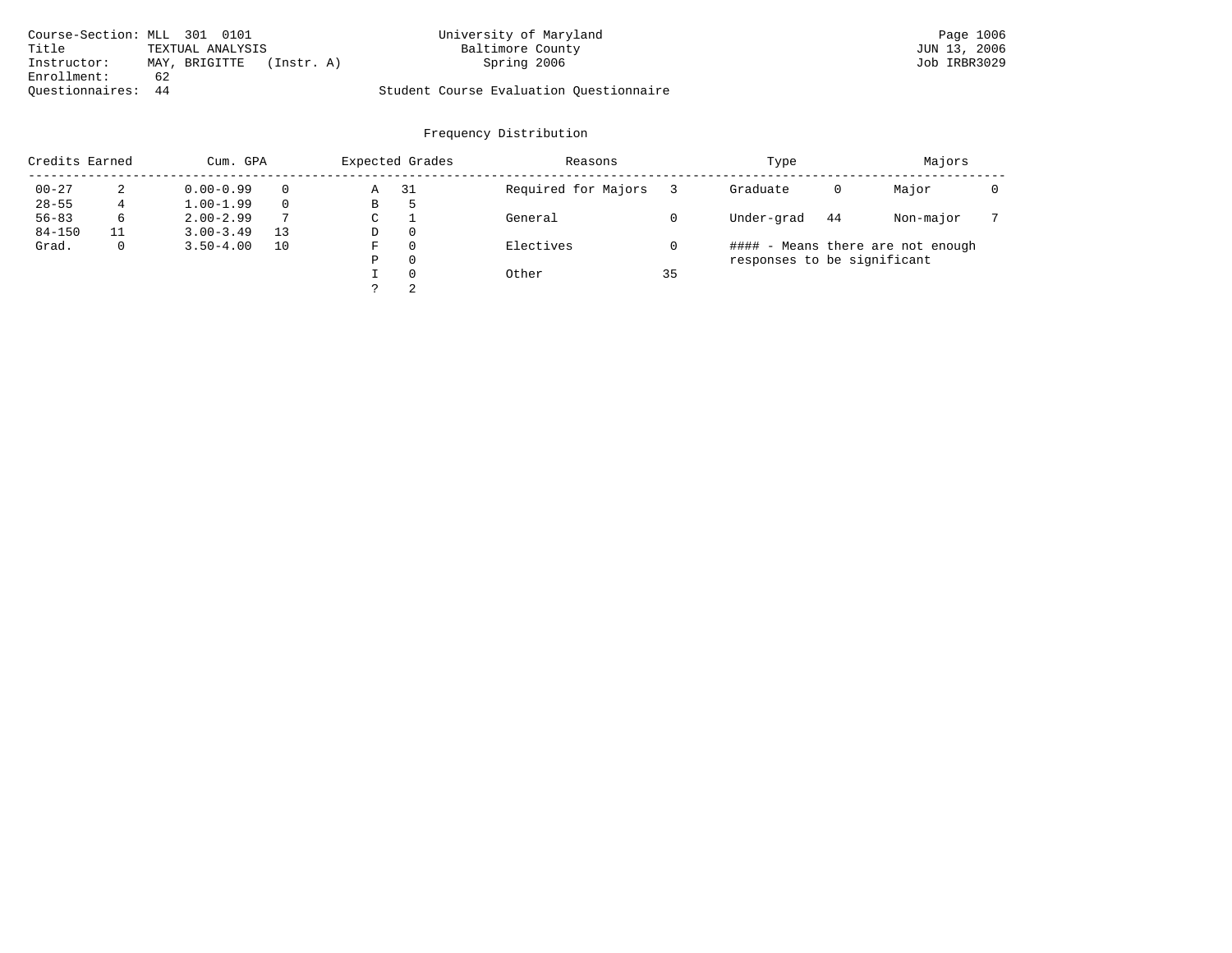| Course-Section: MLL 301 0101 |    |               |                  |            |                                         | University of Maryland | Page 1006    |
|------------------------------|----|---------------|------------------|------------|-----------------------------------------|------------------------|--------------|
| Title                        |    |               | TEXTUAL ANALYSIS |            |                                         | Baltimore County       | JUN 13, 2006 |
| Instructor:                  |    | MAY, BRIGITTE |                  | (Instr. A) |                                         | Spring 2006            | Job IRBR3029 |
| Enrollment:                  | 62 |               |                  |            |                                         |                        |              |
| Ouestionnaires: 44           |    |               |                  |            | Student Course Evaluation Ouestionnaire |                        |              |

| Credits Earned |              | Cum. GPA      |    |   | Expected Grades | Reasons             |    | Type                        |    | Majors                            |  |
|----------------|--------------|---------------|----|---|-----------------|---------------------|----|-----------------------------|----|-----------------------------------|--|
| $00 - 27$      | 2            | $0.00 - 0.99$ |    | Α | 31              | Required for Majors |    | Graduate                    | 0  | Major                             |  |
| $28 - 55$      |              | $1.00 - 1.99$ |    | В | ל               |                     |    |                             |    |                                   |  |
| $56 - 83$      | 6            | $2.00 - 2.99$ |    | C |                 | General             |    | Under-grad                  | 44 | Non-major                         |  |
| $84 - 150$     | 11           | $3.00 - 3.49$ | 13 | D | 0               |                     |    |                             |    |                                   |  |
| Grad.          | $\mathbf{0}$ | $3.50 - 4.00$ | 10 | F | $\Omega$        | Electives           |    |                             |    | #### - Means there are not enough |  |
|                |              |               |    | P | $\Omega$        |                     |    | responses to be significant |    |                                   |  |
|                |              |               |    |   | $\Omega$        | Other               | 35 |                             |    |                                   |  |
|                |              |               |    |   | 2               |                     |    |                             |    |                                   |  |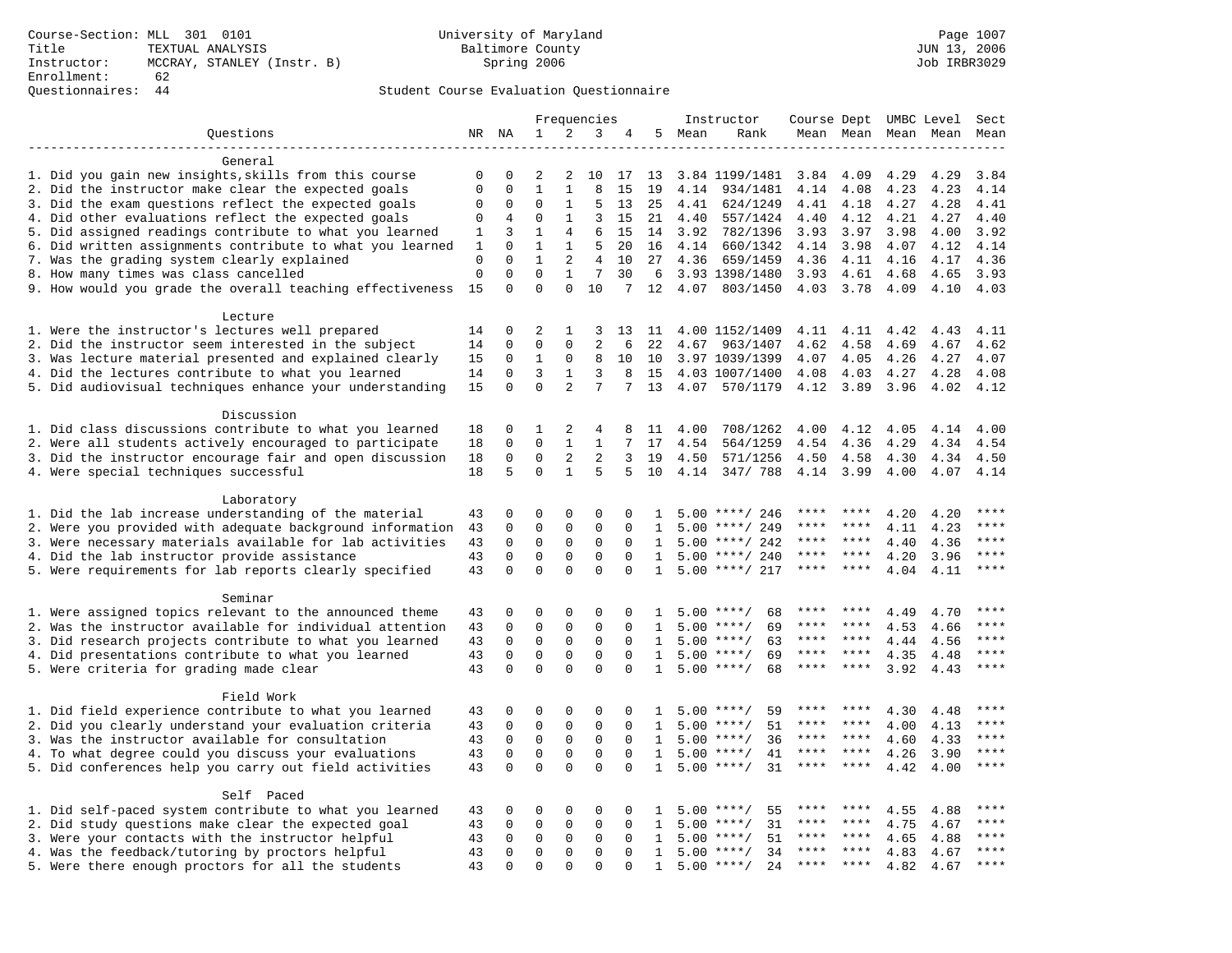Course-Section: MLL 301 0101 University of Maryland Page 1007 Title TEXTUAL ANALYSIS Baltimore County JUN 13, 2006 MCCRAY, STANLEY (Instr. B)<br>62 Enrollment:

# Questionnaires: 44 Student Course Evaluation Questionnaire

|                                                                                                    |                             |                          |                             |                   | Frequencies         |              |              |      | Instructor                      | Course Dept  |              |              | UMBC Level   | Sect         |
|----------------------------------------------------------------------------------------------------|-----------------------------|--------------------------|-----------------------------|-------------------|---------------------|--------------|--------------|------|---------------------------------|--------------|--------------|--------------|--------------|--------------|
| Ouestions                                                                                          | NR                          | ΝA                       | $\mathbf{1}$                | 2                 | 3                   |              | 5            | Mean | Rank                            | Mean Mean    |              | Mean         | Mean         | Mean         |
|                                                                                                    |                             |                          |                             |                   |                     |              |              |      |                                 |              |              |              |              |              |
| General                                                                                            |                             |                          |                             |                   |                     |              |              |      |                                 |              |              |              |              |              |
| 1. Did you gain new insights, skills from this course                                              | 0                           | $\Omega$                 | 2                           | 2                 | 10                  | 17           | 13           |      | 3.84 1199/1481                  | 3.84         | 4.09         | 4.29         | 4.29         | 3.84         |
| 2. Did the instructor make clear the expected goals                                                | $\mathbf{0}$                | $\mathbf 0$              | $\mathbf{1}$                | $\mathbf{1}$      | 8                   | 15           | 19           | 4.14 | 934/1481                        | 4.14         | 4.08         | 4.23         | 4.23         | 4.14         |
| 3. Did the exam questions reflect the expected goals                                               | $\mathbf 0$                 | $\mathbf{0}$             | $\Omega$                    | 1                 | 5                   | 13           | 25           | 4.41 | 624/1249                        | 4.41         | 4.18         | 4.27         | 4.28         | 4.41         |
| 4. Did other evaluations reflect the expected goals                                                | 0                           | 4                        | $\mathbf 0$                 | $\mathbf{1}$      | 3                   | 15           | 21           | 4.40 | 557/1424                        | 4.40         | 4.12         | 4.21         | 4.27         | 4.40         |
| 5. Did assigned readings contribute to what you learned                                            | 1                           | 3                        | 1                           | $\overline{4}$    | 6                   | 15           | 14           | 3.92 | 782/1396                        | 3.93         | 3.97         | 3.98         | 4.00         | 3.92         |
| 6. Did written assignments contribute to what you learned                                          | 1                           | $\mathbf 0$              | $\mathbf 1$                 | 1                 | 5                   | 20           | 16           | 4.14 | 660/1342                        | 4.14         | 3.98         | 4.07         | 4.12         | 4.14         |
| 7. Was the grading system clearly explained                                                        | $\mathbf{0}$<br>$\mathbf 0$ | $\Omega$<br>$\mathbf{0}$ | $\mathbf{1}$<br>$\mathbf 0$ | 2<br>$\mathbf{1}$ | $\overline{4}$<br>7 | 10<br>30     | 27           | 4.36 | 659/1459                        | 4.36         | 4.11         | 4.16         | 4.17         | 4.36         |
| 8. How many times was class cancelled<br>9. How would you grade the overall teaching effectiveness | 15                          | $\Omega$                 | $\Omega$                    | $\Omega$          | 10                  | 7            | 6<br>12      |      | 3.93 1398/1480<br>4.07 803/1450 | 3.93<br>4.03 | 4.61<br>3.78 | 4.68<br>4.09 | 4.65<br>4.10 | 3.93<br>4.03 |
|                                                                                                    |                             |                          |                             |                   |                     |              |              |      |                                 |              |              |              |              |              |
| Lecture                                                                                            |                             |                          |                             |                   |                     |              |              |      |                                 |              |              |              |              |              |
| 1. Were the instructor's lectures well prepared                                                    | 14                          | $\mathbf 0$              | 2                           | 1                 | 3                   | 13           | 11           |      | 4.00 1152/1409                  | 4.11         | 4.11         | 4.42         | 4.43         | 4.11         |
| 2. Did the instructor seem interested in the subject                                               | 14                          | $\mathbf 0$              | $\Omega$                    | $\Omega$          | $\overline{2}$      | 6            | 22           | 4.67 | 963/1407                        | 4.62         | 4.58         | 4.69         | 4.67         | 4.62         |
| 3. Was lecture material presented and explained clearly                                            | 15                          | $\mathbf 0$              | $\mathbf{1}$                | $\mathsf 0$       | 8                   | 10           | 10           |      | 3.97 1039/1399                  | 4.07         | 4.05         | 4.26         | 4.27         | 4.07         |
| 4. Did the lectures contribute to what you learned                                                 | 14                          | $\mathbf 0$              | 3                           | $\mathbf{1}$      | 3                   | 8            | 15           |      | 4.03 1007/1400                  | 4.08         | 4.03         | 4.27         | 4.28         | 4.08         |
| 5. Did audiovisual techniques enhance your understanding                                           | 15                          | $\mathbf 0$              | $\Omega$                    | $\overline{a}$    | 7                   | 7            | 13           | 4.07 | 570/1179                        | 4.12         | 3.89         | 3.96         | 4.02         | 4.12         |
|                                                                                                    |                             |                          |                             |                   |                     |              |              |      |                                 |              |              |              |              |              |
| Discussion                                                                                         |                             |                          |                             |                   |                     |              |              |      |                                 |              |              |              |              |              |
| 1. Did class discussions contribute to what you learned                                            | 18                          | $\mathbf 0$              | 1                           | 2                 | 4                   | 8            | 11           | 4.00 | 708/1262                        | 4.00         | 4.12         | 4.05         | 4.14         | 4.00         |
| 2. Were all students actively encouraged to participate                                            | 18                          | $\mathbf 0$              | $\mathbf 0$                 | $\mathbf{1}$      | $\mathbf{1}$        | 7            | 17           | 4.54 | 564/1259                        | 4.54         | 4.36         | 4.29         | 4.34         | 4.54         |
| 3. Did the instructor encourage fair and open discussion                                           | 18                          | $\mathbf 0$              | $\mathbf 0$                 | 2                 | $\overline{2}$      | 3            | 19           | 4.50 | 571/1256                        | 4.50         | 4.58         | 4.30         | 4.34         | 4.50         |
| 4. Were special techniques successful                                                              | 18                          | 5                        | $\Omega$                    | $\mathbf{1}$      | 5                   | 5            | 10           | 4.14 | 347/ 788                        | 4.14         | 3.99         | 4.00         | 4.07         | 4.14         |
|                                                                                                    |                             |                          |                             |                   |                     |              |              |      |                                 |              |              |              |              |              |
| Laboratory                                                                                         |                             |                          |                             |                   |                     |              |              |      |                                 |              |              |              |              |              |
| 1. Did the lab increase understanding of the material                                              | 43                          | $\mathbf 0$              | $\mathbf 0$                 | $\mathbf{0}$      | $\mathbf 0$         | $\Omega$     | 1            |      | $5.00$ ****/ 246                |              |              | 4.20         | 4.20         |              |
| 2. Were you provided with adequate background information                                          | 43                          | 0                        | 0                           | $\mathsf 0$       | $\mathsf 0$         | $\Omega$     | $\mathbf{1}$ | 5.00 | ****/ 249                       | ****         | ****         | 4.11         | 4.23         | ****         |
| 3. Were necessary materials available for lab activities                                           | 43                          | $\mathbf 0$              | 0                           | $\mathsf 0$       | $\mathbf 0$         | $\mathbf{0}$ | $\mathbf{1}$ | 5.00 | ****/ 242                       | ****         | $* * * *$    | 4.40         | 4.36         | $***$        |
| 4. Did the lab instructor provide assistance                                                       | 43                          | $\Omega$                 | $\mathbf 0$                 | $\mathbf 0$       | $\mathbf 0$         | $\Omega$     | $\mathbf{1}$ |      | $5.00$ ****/ 240                | ****         | $***$        | 4.20         | 3.96         | ****         |
| 5. Were requirements for lab reports clearly specified                                             | 43                          | $\mathbf 0$              | $\mathbf 0$                 | $\Omega$          | $\Omega$            | $\Omega$     | $\mathbf{1}$ |      | $5.00$ ****/ 217                | ****         | ****         | 4.04         | 4.11         | ****         |
| Seminar                                                                                            |                             |                          |                             |                   |                     |              |              |      |                                 |              |              |              |              |              |
| 1. Were assigned topics relevant to the announced theme                                            | 43                          | 0                        | 0                           | $\mathbf 0$       | $\mathbf 0$         | $\Omega$     | 1.           |      | $5.00$ ****/<br>68              |              |              | 4.49         | 4.70         | ****         |
| 2. Was the instructor available for individual attention                                           | 43                          | $\mathbf 0$              | $\mathbf 0$                 | $\mathbf 0$       | $\mathbf{0}$        | 0            | $\mathbf{1}$ |      | $5.00$ ****/<br>69              | ****         | ****         | 4.53         | 4.66         | ****         |
| 3. Did research projects contribute to what you learned                                            | 43                          | $\mathbf 0$              | $\mathbf 0$                 | $\mathbf 0$       | $\mathbf 0$         | $\mathbf 0$  | 1            | 5.00 | $***$ /<br>63                   | ****         | ****         | 4.44         | 4.56         | ****         |
| 4. Did presentations contribute to what you learned                                                | 43                          | $\mathbf 0$              | $\mathbf 0$                 | $\mathbf 0$       | $\mathbf 0$         | $\Omega$     | $\mathbf{1}$ | 5.00 | $***/$<br>69                    | ****         | ****         | 4.35         | 4.48         | $***$        |
| 5. Were criteria for grading made clear                                                            | 43                          | $\Omega$                 | $\Omega$                    | $\Omega$          | $\Omega$            | $\Omega$     | $\mathbf{1}$ |      | $5.00$ ****/<br>68              | ****         | ****         | 3.92         | 4.43         | ****         |
|                                                                                                    |                             |                          |                             |                   |                     |              |              |      |                                 |              |              |              |              |              |
| Field Work                                                                                         |                             |                          |                             |                   |                     |              |              |      |                                 |              |              |              |              |              |
| 1. Did field experience contribute to what you learned                                             | 43                          | 0                        | 0                           | $\mathsf 0$       | $\Omega$            | $\Omega$     | $\mathbf{1}$ |      | $5.00$ ****/<br>59              | ****         | ****         | 4.30         | 4.48         | ****         |
| 2. Did you clearly understand your evaluation criteria                                             | 43                          | $\mathbf 0$              | $\mathbf 0$                 | $\mathbf 0$       | $\mathbf{0}$        | $\mathbf 0$  | 1            | 5.00 | 51<br>$***/$                    | ****         | $* * * * *$  | 4.00         | 4.13         | ****         |
| 3. Was the instructor available for consultation                                                   | 43                          | $\mathbf 0$              | $\mathbf 0$                 | $\mathbf 0$       | $\mathbf 0$         | 0            | 1            |      | $5.00$ ****/<br>36              | ****         | ****         | 4.60         | 4.33         | ****         |
| 4. To what degree could you discuss your evaluations                                               | 43                          | $\mathsf 0$              | $\mathbf 0$                 | $\mathsf 0$       | $\mathbf 0$         | $\mathbf 0$  | 1            | 5.00 | $* * * * /$<br>41               |              | ****         | 4.26         | 3.90         | ****         |
| 5. Did conferences help you carry out field activities                                             | 43                          | $\mathbf 0$              | $\mathbf 0$                 | $\Omega$          | $\mathbf 0$         | $\Omega$     | 1            | 5.00 | 31<br>$***$ /                   | ****         | ****         | 4.42         | 4.00         | $***$ * * *  |
|                                                                                                    |                             |                          |                             |                   |                     |              |              |      |                                 |              |              |              |              |              |
| Self Paced                                                                                         |                             |                          |                             |                   |                     |              |              |      |                                 |              |              |              |              |              |
| 1. Did self-paced system contribute to what you learned                                            | 43                          | $\mathbf 0$              | 0                           | 0                 | 0                   | 0            | $\mathbf{1}$ | 5.00 | 55<br>****/                     |              |              | 4.55         | 4.88         |              |
| 2. Did study questions make clear the expected goal                                                | 43                          | $\mathbf 0$              | $\mathbf 0$                 | 0                 | $\mathbf 0$         | $\Omega$     | 1            | 5.00 | 31<br>$***$ /                   | ****         | ****         | 4.75         | 4.67         | ****         |
| 3. Were your contacts with the instructor helpful                                                  | 43                          | $\Omega$                 | $\mathbf 0$                 | $\mathbf 0$       | $\mathbf 0$         | $\Omega$     | 1            | 5.00 | $***$ /<br>51                   | ****         | $* * * *$    | 4.65         | 4.88         | ****         |
| 4. Was the feedback/tutoring by proctors helpful                                                   | 43                          | $\Omega$                 | $\Omega$                    | $\Omega$          | $\Omega$            | $\Omega$     | $\mathbf{1}$ | 5.00 | 34<br>$***/$                    | ****         | ****         | 4.83         | 4.67         | ****         |
| 5. Were there enough proctors for all the students                                                 | 43                          | $\Omega$                 | $\Omega$                    | $\Omega$          | $\Omega$            | $\Omega$     | $\mathbf{1}$ |      | 24<br>$5.00$ ****/              | ***          | ****         | 4.82         | 4.67         | ****         |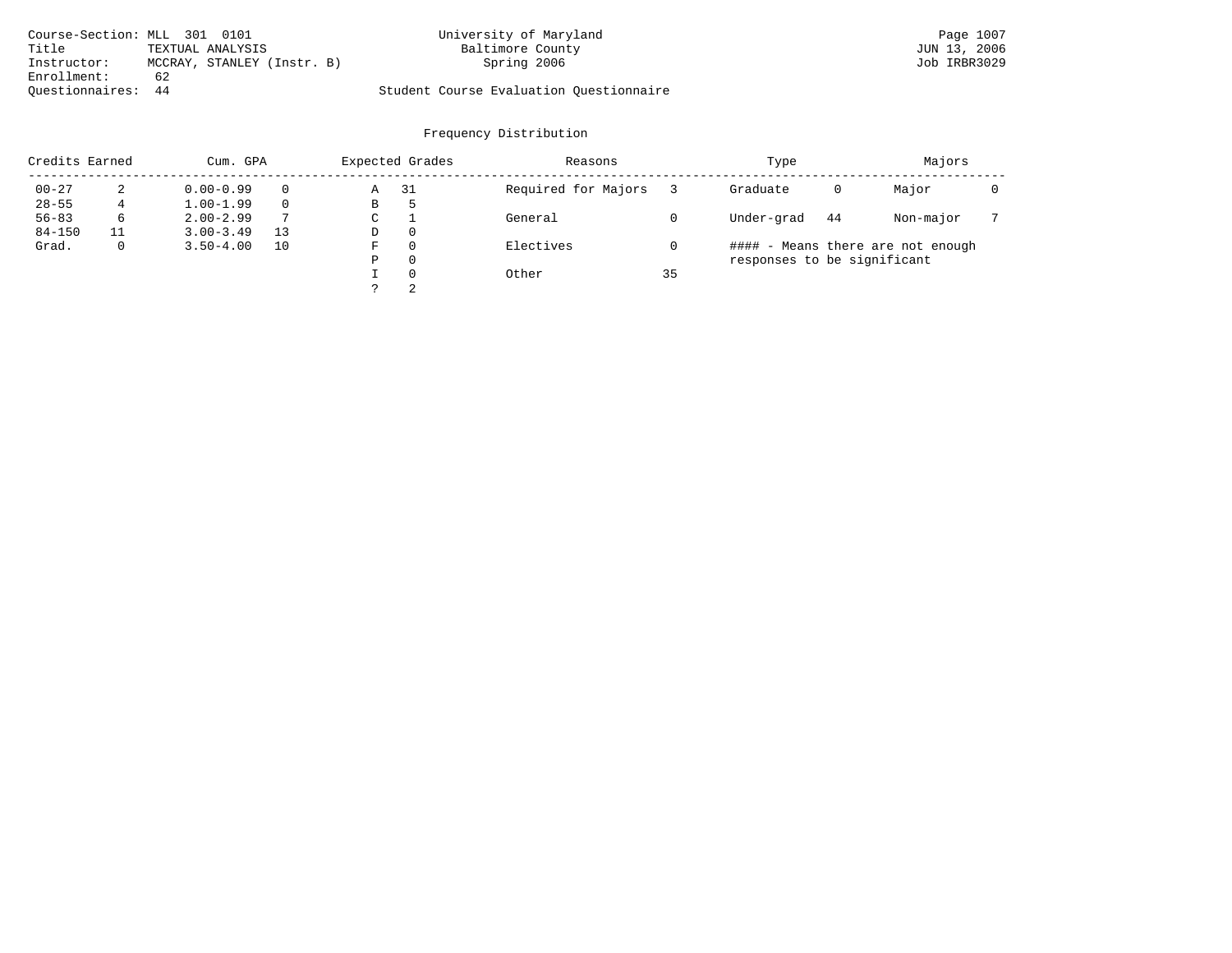| Course-Section: MLL 301 0101 |    |                            | University of Maryland                  | Page 1007    |
|------------------------------|----|----------------------------|-----------------------------------------|--------------|
| Title                        |    | TEXTUAL ANALYSIS           | Baltimore County                        | JUN 13, 2006 |
| Instructor:                  |    | MCCRAY, STANLEY (Instr. B) | Spring 2006                             | Job IRBR3029 |
| Enrollment:                  | 62 |                            |                                         |              |
| Ouestionnaires: 44           |    |                            | Student Course Evaluation Ouestionnaire |              |

| Credits Earned |    | Cum. GPA      |    |             | Expected Grades | Reasons             |    | Type                        |    | Majors                            |  |
|----------------|----|---------------|----|-------------|-----------------|---------------------|----|-----------------------------|----|-----------------------------------|--|
| $00 - 27$      | 2  | $0.00 - 0.99$ |    | Α           | -31             | Required for Majors |    | Graduate                    | 0  | Major                             |  |
| $28 - 55$      |    | $1.00 - 1.99$ |    | В           | ל               |                     |    |                             |    |                                   |  |
| $56 - 83$      | 6  | $2.00 - 2.99$ | 7  | $\sim$<br>◡ |                 | General             |    | Under-grad                  | 44 | Non-major                         |  |
| $84 - 150$     | 11 | $3.00 - 3.49$ | 13 | D           | 0               |                     |    |                             |    |                                   |  |
| Grad.          | 0  | $3.50 - 4.00$ | 10 | F           | 0               | Electives           |    |                             |    | #### - Means there are not enough |  |
|                |    |               |    | Ρ           | 0               |                     |    | responses to be significant |    |                                   |  |
|                |    |               |    |             | $\Omega$        | Other               | 35 |                             |    |                                   |  |
|                |    |               |    | っ           | 2               |                     |    |                             |    |                                   |  |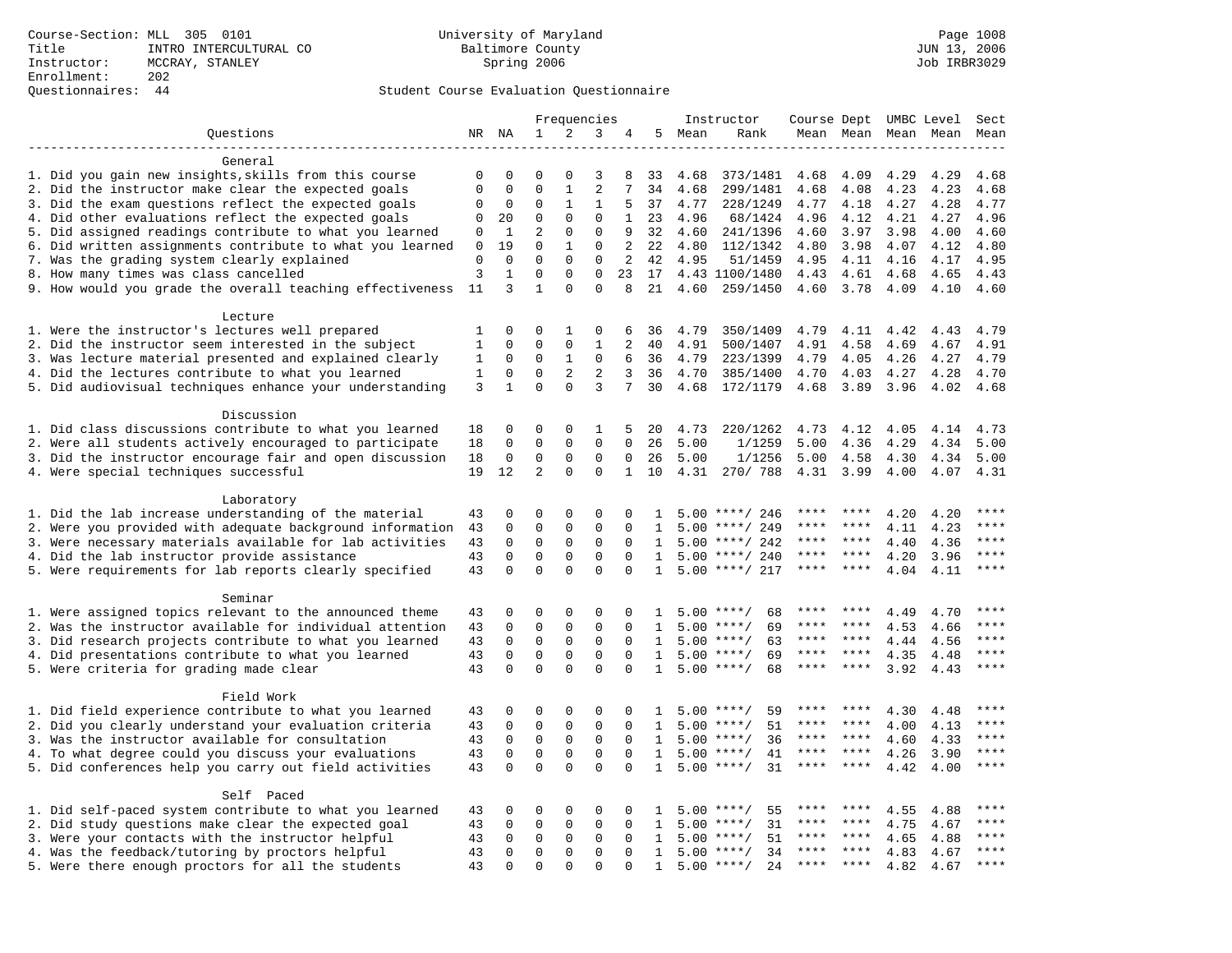# Questionnaires: 44 Student Course Evaluation Questionnaire

|                                                                                                                |                |              |                         |                | Frequencies             |                         |                   |      | Instructor                               | Course Dept UMBC Level |             |              |              | Sect        |
|----------------------------------------------------------------------------------------------------------------|----------------|--------------|-------------------------|----------------|-------------------------|-------------------------|-------------------|------|------------------------------------------|------------------------|-------------|--------------|--------------|-------------|
| Questions                                                                                                      |                | NR NA        | $\mathbf{1}$            | 2              | 3                       | 4                       | 5                 | Mean | Rank                                     |                        | Mean Mean   |              | Mean Mean    | Mean        |
|                                                                                                                |                |              |                         |                |                         |                         |                   |      |                                          |                        |             |              |              |             |
| General                                                                                                        |                |              |                         |                |                         |                         |                   |      |                                          |                        |             |              |              |             |
| 1. Did you gain new insights, skills from this course                                                          | 0              | 0            | 0                       | $\Omega$       | 3                       | 8                       | 33                | 4.68 | 373/1481                                 | 4.68                   | 4.09        | 4.29         | 4.29         | 4.68        |
| 2. Did the instructor make clear the expected goals                                                            | $\mathbf 0$    | $\mathbf 0$  | $\Omega$                | $\mathbf{1}$   | $\overline{2}$          | 7                       | 34                | 4.68 | 299/1481                                 | 4.68                   | 4.08        | 4.23         | 4.23         | 4.68        |
| 3. Did the exam questions reflect the expected goals                                                           | 0              | 0            | $\mathbf 0$             | 1              | 1                       | 5                       | 37                | 4.77 | 228/1249                                 | 4.77                   | 4.18        | 4.27         | 4.28         | 4.77        |
| 4. Did other evaluations reflect the expected goals                                                            | $\Omega$       | 20           | $\mathbf{0}$            | 0              | $\mathbf 0$             | $\mathbf{1}$            | 23                | 4.96 | 68/1424                                  | 4.96                   | 4.12        | 4.21         | 4.27         | 4.96        |
| 5. Did assigned readings contribute to what you learned                                                        | 0              | 1            | 2                       | $\mathbf 0$    | $\mathbf 0$             | 9                       | 32                | 4.60 | 241/1396                                 | 4.60                   | 3.97        | 3.98         | 4.00         | 4.60        |
| 6. Did written assignments contribute to what you learned                                                      | $\mathbf 0$    | 19           | $\mathbf 0$             | $\mathbf{1}$   | $\mathbf 0$             | 2                       | 22                | 4.80 | 112/1342                                 | 4.80                   | 3.98        | 4.07         | 4.12         | 4.80        |
| 7. Was the grading system clearly explained                                                                    | $\mathsf 0$    | $\Omega$     | $\Omega$<br>$\Omega$    | $\Omega$       | $\Omega$                | 2                       | 42                | 4.95 | 51/1459                                  | 4.95                   | 4.11        | 4.16         | 4.17         | 4.95        |
| 8. How many times was class cancelled                                                                          | $\overline{3}$ | $\mathbf 1$  | $\mathbf{1}$            | 0<br>$\Omega$  | $\mathbf 0$<br>$\Omega$ | 23<br>8                 | 17                |      | 4.43 1100/1480                           | 4.43                   | 4.61        | 4.68         | 4.65         | 4.43        |
| 9. How would you grade the overall teaching effectiveness                                                      | 11             | 3            |                         |                |                         |                         | 21                | 4.60 | 259/1450                                 | 4.60                   | 3.78        | 4.09         | 4.10         | 4.60        |
| Lecture                                                                                                        |                |              |                         |                |                         |                         |                   |      |                                          |                        |             |              |              |             |
| 1. Were the instructor's lectures well prepared                                                                | 1              | 0            | $\Omega$                | 1              | $\mathbf 0$             | 6                       | 36                | 4.79 | 350/1409                                 | 4.79                   | 4.11        | 4.42         | 4.43         | 4.79        |
| 2. Did the instructor seem interested in the subject                                                           | 1              | 0            | $\Omega$                | $\mathbf 0$    | 1                       | 2                       | 40                | 4.91 | 500/1407                                 | 4.91                   | 4.58        | 4.69         | 4.67         | 4.91        |
| 3. Was lecture material presented and explained clearly                                                        | 1              | 0            | $\mathbf{0}$            | $\mathbf{1}$   | $\mathbf 0$             | 6                       | 36                | 4.79 | 223/1399                                 | 4.79                   | 4.05        | 4.26         | 4.27         | 4.79        |
| 4. Did the lectures contribute to what you learned                                                             | 1              | $\Omega$     | $\Omega$                | $\overline{c}$ | $\overline{2}$          | 3                       | 36                | 4.70 | 385/1400                                 | 4.70                   | 4.03        | 4.27         | 4.28         | 4.70        |
| 5. Did audiovisual techniques enhance your understanding                                                       | 3              | $\mathbf{1}$ | $\Omega$                | $\Omega$       | 3                       | 7                       | 30                | 4.68 | 172/1179                                 | 4.68                   | 3.89        | 3.96         | 4.02         | 4.68        |
|                                                                                                                |                |              |                         |                |                         |                         |                   |      |                                          |                        |             |              |              |             |
| Discussion                                                                                                     |                |              |                         |                |                         |                         |                   |      |                                          |                        |             |              |              |             |
| 1. Did class discussions contribute to what you learned                                                        | 18             | 0            | $\Omega$                | $\Omega$       | 1                       | 5                       | 20                | 4.73 | 220/1262                                 | 4.73                   | 4.12        | 4.05         | 4.14         | 4.73        |
| 2. Were all students actively encouraged to participate                                                        | 18             | 0            | $\Omega$                | 0              | $\mathbf 0$             | $\Omega$                | 26                | 5.00 | 1/1259                                   | 5.00                   | 4.36        | 4.29         | 4.34         | 5.00        |
| 3. Did the instructor encourage fair and open discussion                                                       | 18             | 0            | $\mathbf 0$             | 0              | $\mathbf 0$             | 0                       | 26                | 5.00 | 1/1256                                   | 5.00                   | 4.58        | 4.30         | 4.34         | 5.00        |
| 4. Were special techniques successful                                                                          | 19             | 12           | $\overline{2}$          | $\Omega$       | $\mathbf 0$             | $\mathbf{1}$            | 10                | 4.31 | 270/ 788                                 | 4.31                   | 3.99        | 4.00         | 4.07         | 4.31        |
|                                                                                                                |                |              |                         |                |                         |                         |                   |      |                                          |                        |             |              |              |             |
| Laboratory                                                                                                     |                |              |                         |                |                         |                         |                   |      |                                          |                        |             |              |              |             |
| 1. Did the lab increase understanding of the material                                                          | 43             | 0            | $\Omega$                | 0              | $\mathbf 0$             | $\Omega$                | 1                 |      | $5.00$ ****/ 246                         |                        |             | 4.20         | 4.20         |             |
| 2. Were you provided with adequate background information                                                      | 43             | 0            | $\mathbf 0$             | 0              | $\mathbf 0$             | 0                       | 1                 | 5.00 | ****/ 249                                | ****                   | ****        | 4.11         | 4.23         | ****        |
| 3. Were necessary materials available for lab activities                                                       | 43             | 0            | $\mathbf 0$             | 0              | $\mathsf 0$             | $\mathbf 0$             | 1                 | 5.00 | ****/ 242                                | ****                   | $* * * * *$ | 4.40         | 4.36         | $***$       |
| 4. Did the lab instructor provide assistance                                                                   | 43             | 0            | $\Omega$                | 0              | $\mathbf 0$             | $\Omega$                | $\mathbf{1}$      | 5.00 | ****/ 240                                | ****                   | ****        | 4.20         | 3.96         | ****        |
| 5. Were requirements for lab reports clearly specified                                                         | 43             | 0            | $\mathbf 0$             | $\Omega$       | $\mathbf 0$             | $\Omega$                | $\mathbf{1}$      |      | $5.00$ ****/ 217                         | ****                   | ****        | 4.04         | 4.11         | ****        |
|                                                                                                                |                |              |                         |                |                         |                         |                   |      |                                          |                        |             |              |              |             |
| Seminar                                                                                                        |                |              |                         |                |                         |                         |                   |      |                                          | ****                   | ****        |              |              | ****        |
| 1. Were assigned topics relevant to the announced theme                                                        | 43             | 0<br>0       | $\mathbf 0$<br>$\Omega$ | $\Omega$<br>0  | $\Omega$<br>$\mathbf 0$ | $\Omega$<br>$\mathbf 0$ | 1<br>$\mathbf{1}$ |      | 68<br>$5.00$ ****/<br>69<br>$5.00$ ****/ | ****                   | ****        | 4.49<br>4.53 | 4.70<br>4.66 | ****        |
| 2. Was the instructor available for individual attention                                                       | 43             | $\mathbf 0$  | $\mathbf 0$             | $\mathsf 0$    | $\mathsf 0$             | $\mathbf 0$             | 1                 | 5.00 | $***/$<br>63                             | ****                   | $* * * * *$ | 4.44         | 4.56         | ****        |
| 3. Did research projects contribute to what you learned<br>4. Did presentations contribute to what you learned | 43<br>43       | $\mathbf 0$  | $\mathsf 0$             | $\mathbf 0$    | $\mathsf 0$             | $\mathbf 0$             | 1                 |      | 69<br>$5.00$ ****/                       | $***$ * * *            | $* * * *$   | 4.35         | 4.48         | $***$ * * * |
| 5. Were criteria for grading made clear                                                                        | 43             | $\Omega$     | $\Omega$                | $\Omega$       | $\Omega$                | $\Omega$                | 1                 |      | $5.00$ ****/<br>68                       | ****                   | ****        | 3.92         | 4.43         | ****        |
|                                                                                                                |                |              |                         |                |                         |                         |                   |      |                                          |                        |             |              |              |             |
| Field Work                                                                                                     |                |              |                         |                |                         |                         |                   |      |                                          |                        |             |              |              |             |
| 1. Did field experience contribute to what you learned                                                         | 43             | 0            | 0                       | $\mathbf 0$    | $\mathbf 0$             | 0                       | 1                 |      | $5.00$ ****/<br>59                       |                        |             | 4.30         | 4.48         | ****        |
| 2. Did you clearly understand your evaluation criteria                                                         | 43             | $\Omega$     | $\mathbf 0$             | $\mathbf 0$    | $\mathbf 0$             | $\Omega$                | $\mathbf{1}$      | 5.00 | 51<br>$* * * * /$                        | ****                   | ****        | 4.00         | 4.13         | ****        |
| 3. Was the instructor available for consultation                                                               | 43             | $\mathbf 0$  | $\mathbf{0}$            | $\mathbf 0$    | $\mathbf 0$             | $\Omega$                | $\mathbf{1}$      |      | $5.00$ ****/<br>36                       | ****                   | ****        | 4.60         | 4.33         | ****        |
| 4. To what degree could you discuss your evaluations                                                           | 43             | $\mathbf 0$  | $\mathbf 0$             | $\mathbf 0$    | $\mathbf 0$             | $\Omega$                | $\mathbf{1}$      | 5.00 | $***$ /<br>41                            | ****                   | ****        | 4.26         | 3.90         | ****        |
| 5. Did conferences help you carry out field activities                                                         | 43             | $\Omega$     | $\Omega$                | $\Omega$       | $\Omega$                | $\Omega$                | $\mathbf{1}$      | 5.00 | $***$ /<br>31                            | ****                   | $* * * * *$ | 4.42         | 4.00         | ****        |
|                                                                                                                |                |              |                         |                |                         |                         |                   |      |                                          |                        |             |              |              |             |
| Self Paced                                                                                                     |                |              |                         |                |                         |                         |                   |      |                                          |                        |             |              |              |             |
| 1. Did self-paced system contribute to what you learned                                                        | 43             | 0            | 0                       | $\mathbf 0$    | $\mathbf 0$             | 0                       | 1                 | 5.00 | ****/<br>55                              |                        |             | 4.55         | 4.88         | ****        |
| 2. Did study questions make clear the expected goal                                                            | 43             | 0            | $\mathbf{0}$            | $\mathbf 0$    | $\mathbf 0$             | $\mathbf 0$             | 1                 | 5.00 | 31<br>$***/$                             | ****                   | ****        | 4.75         | 4.67         | ****        |
| 3. Were your contacts with the instructor helpful                                                              | 43             | $\Omega$     | 0                       | $\mathbf 0$    | $\mathbf 0$             | $\Omega$                | 1                 | 5.00 | 51<br>$***/$                             | ****                   | ****        | 4.65         | 4.88         | $***$ * * * |
| 4. Was the feedback/tutoring by proctors helpful                                                               | 43             | $\Omega$     | $\Omega$                | 0              | $\mathbf 0$             | $\Omega$                | $\mathbf{1}$      | 5.00 | 34<br>$***$ /                            | ****                   | ****        | 4.83         | 4.67         | ****        |
| 5. Were there enough proctors for all the students                                                             | 43             | $\Omega$     | $\Omega$                | $\Omega$       | $\Omega$                | $\Omega$                | $\mathbf{1}$      | 5.00 | $***$ /<br>24                            | ****                   |             | 4.82         | 4.67         | ****        |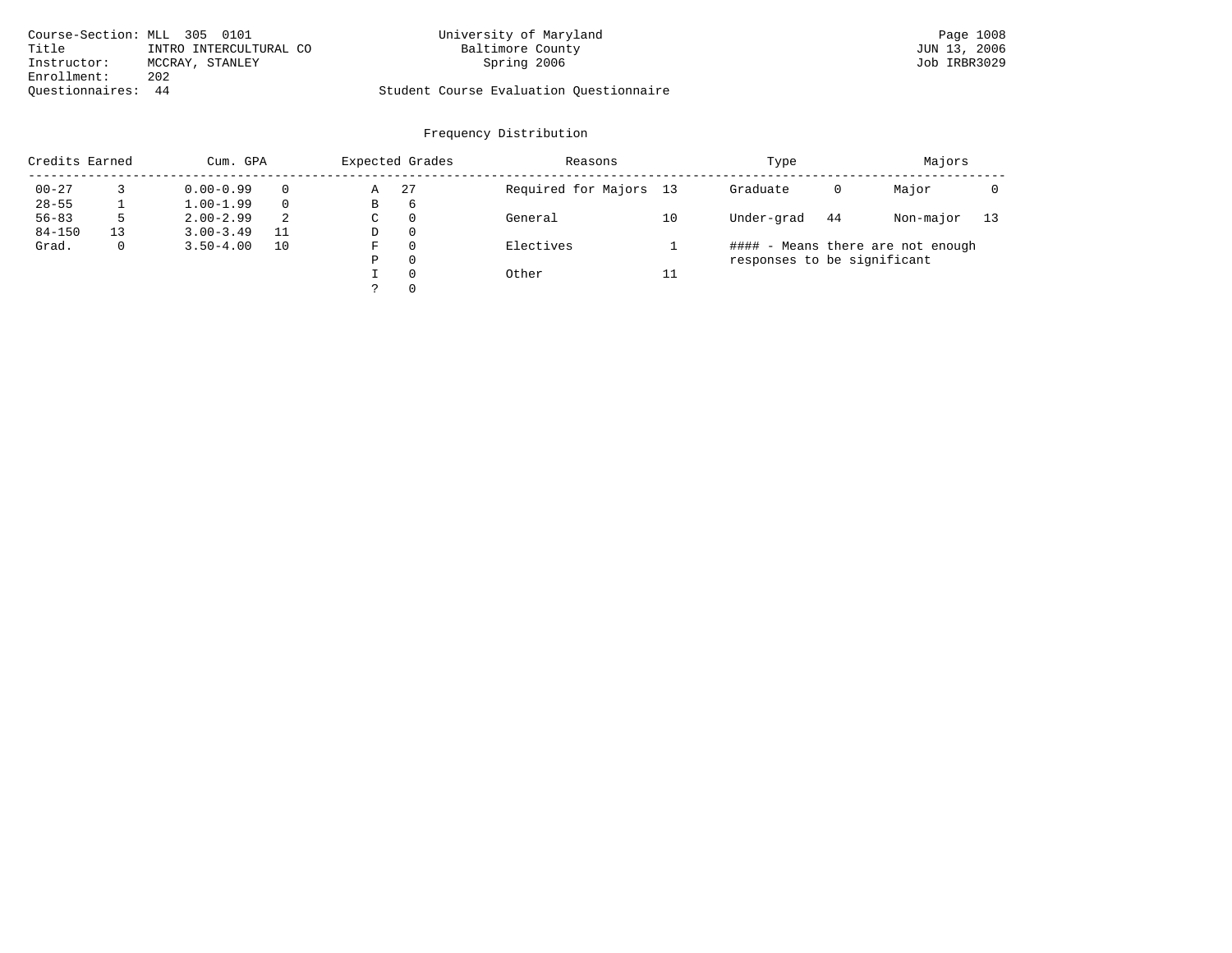|                    | Course-Section: MLL 305 0101 | University of Maryland                  | Page 1008    |
|--------------------|------------------------------|-----------------------------------------|--------------|
| Title              | INTRO INTERCULTURAL CO       | Baltimore County                        | JUN 13, 2006 |
| Instructor:        | MCCRAY, STANLEY              | Spring 2006                             | Job IRBR3029 |
| Enrollment:        | 202                          |                                         |              |
| Ouestionnaires: 44 |                              | Student Course Evaluation Ouestionnaire |              |

| Credits Earned |              | Cum. GPA      |    |   | Expected Grades | Reasons                |    | Type                        |    | Majors                            |    |
|----------------|--------------|---------------|----|---|-----------------|------------------------|----|-----------------------------|----|-----------------------------------|----|
| $00 - 27$      |              | $0.00 - 0.99$ |    | Α | -27             | Required for Majors 13 |    | Graduate                    | 0  | Major                             |    |
| $28 - 55$      |              | $1.00 - 1.99$ |    | В | 6               |                        |    |                             |    |                                   |    |
| $56 - 83$      | 5            | $2.00 - 2.99$ | 2  | C | $\Omega$        | General                | 10 | Under-grad                  | 44 | Non-major                         | 13 |
| $84 - 150$     | 13           | $3.00 - 3.49$ |    | D | $\Omega$        |                        |    |                             |    |                                   |    |
| Grad.          | $\mathbf{0}$ | $3.50 - 4.00$ | 10 | F | $\Omega$        | Electives              |    |                             |    | #### - Means there are not enough |    |
|                |              |               |    | Ρ | $\Omega$        |                        |    | responses to be significant |    |                                   |    |
|                |              |               |    |   | $\Omega$        | Other                  | 11 |                             |    |                                   |    |
|                |              |               |    |   | $\Omega$        |                        |    |                             |    |                                   |    |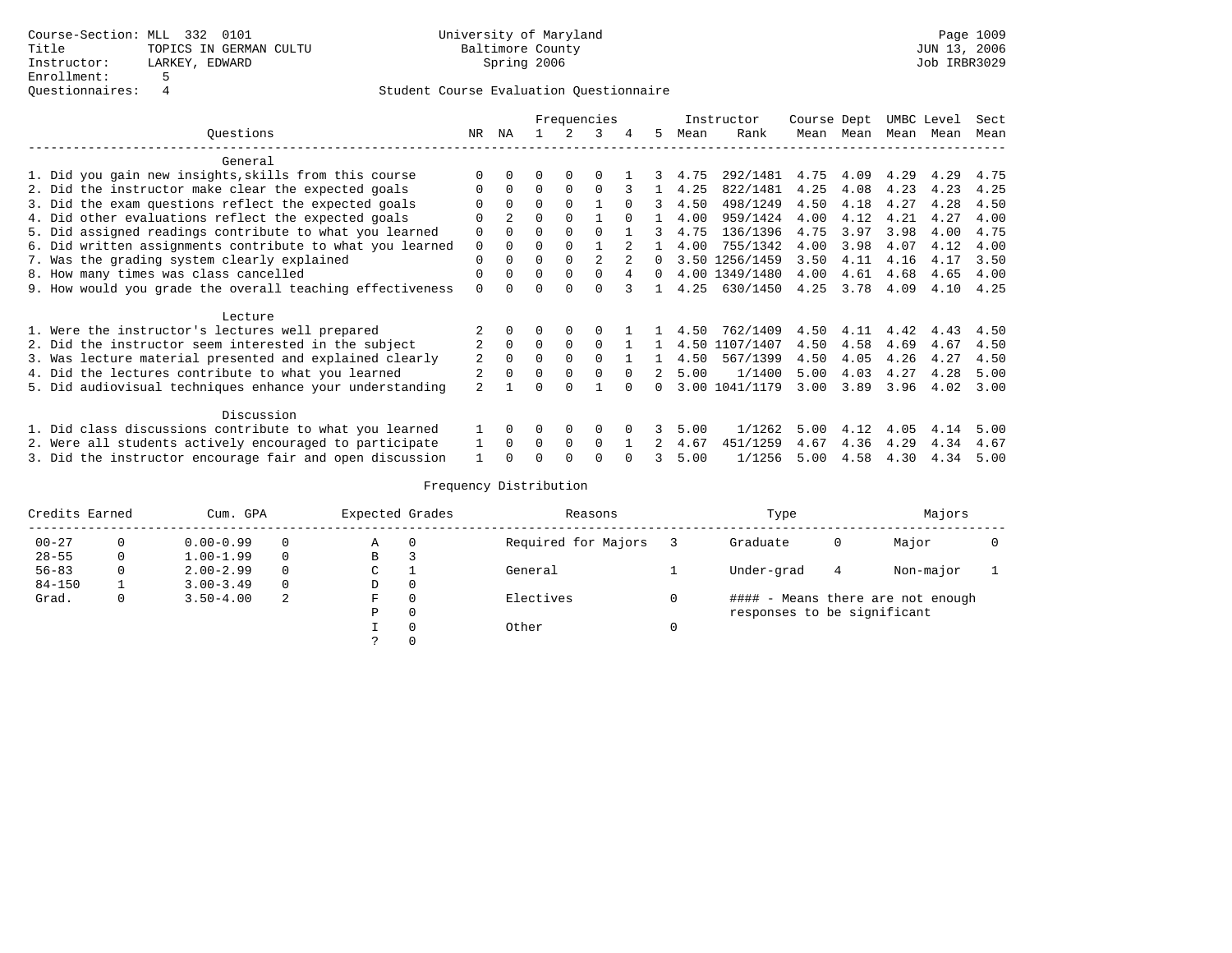|                                                           |                |          |          |          | Frequencies |          |          |      | Instructor     | Course Dept |                | UMBC Level |      | Sect |
|-----------------------------------------------------------|----------------|----------|----------|----------|-------------|----------|----------|------|----------------|-------------|----------------|------------|------|------|
| Ouestions                                                 | NR             | NA       |          |          | 3           |          | .5       | Mean | Rank           |             | Mean Mean      | Mean       | Mean | Mean |
| General                                                   |                |          |          |          |             |          |          |      |                |             |                |            |      |      |
| 1. Did you gain new insights, skills from this course     |                |          |          |          |             |          | 3        | 4.75 | 292/1481       |             | 4.75 4.09 4.29 |            | 4.29 | 4.75 |
| 2. Did the instructor make clear the expected goals       |                |          | $\Omega$ |          | $\Omega$    |          |          | 4.25 | 822/1481       | 4.25        | 4.08           | 4.23       | 4.23 | 4.25 |
| 3. Did the exam questions reflect the expected goals      |                | $\Omega$ | $\Omega$ |          |             | $\cap$   | 3        | 4.50 | 498/1249       | 4.50        | 4.18           | 4.27       | 4.28 | 4.50 |
| 4. Did other evaluations reflect the expected goals       |                | 2        | $\Omega$ |          |             |          |          | 4.00 | 959/1424       | 4.00        | 4.12           | 4.21       | 4.27 | 4.00 |
| 5. Did assigned readings contribute to what you learned   | $\Omega$       |          |          |          |             |          | 3        | 4.75 | 136/1396       | 4.75        | 3.97           | 3.98       | 4.00 | 4.75 |
| 6. Did written assignments contribute to what you learned | $\Omega$       |          |          |          |             |          |          | 4.00 | 755/1342       | 4.00        | 3.98           | 4.07       | 4.12 | 4.00 |
| 7. Was the grading system clearly explained               | $\Omega$       |          | $\Omega$ |          |             |          | $\Omega$ |      | 3.50 1256/1459 | 3.50        | 4.11           | 4.16       | 4.17 | 3.50 |
| 8. How many times was class cancelled                     |                |          | $\Omega$ | $\Omega$ | $\cap$      | 4        | $\Omega$ |      | 4.00 1349/1480 | 4.00        | 4.61           | 4.68       | 4.65 | 4.00 |
| 9. How would you grade the overall teaching effectiveness | $\Omega$       | $\cap$   | $\cap$   | $\cap$   |             | २        |          | 4.25 | 630/1450       | 4.25        | 3.78           | 4.09       | 4.10 | 4.25 |
| Lecture                                                   |                |          |          |          |             |          |          |      |                |             |                |            |      |      |
| 1. Were the instructor's lectures well prepared           |                |          |          |          |             |          |          | 4.50 | 762/1409       | 4.50        | 4.11           | 4.42       | 4.43 | 4.50 |
| 2. Did the instructor seem interested in the subject      |                | $\Omega$ | $\Omega$ | $\Omega$ | $\Omega$    |          |          |      | 4.50 1107/1407 | 4.50        | 4.58           | 4.69       | 4.67 | 4.50 |
| 3. Was lecture material presented and explained clearly   | $\overline{2}$ | $\Omega$ | $\Omega$ | $\Omega$ | $\Omega$    |          |          | 4.50 | 567/1399       | 4.50        | 4.05           | 4.26       | 4.27 | 4.50 |
| 4. Did the lectures contribute to what you learned        | $\mathfrak{D}$ | $\Omega$ | $\Omega$ | $\Omega$ | $\Omega$    | $\Omega$ | 2        | 5.00 | 1/1400         | 5.00        | 4.03           | 4.27       | 4.28 | 5.00 |
| 5. Did audiovisual techniques enhance your understanding  | 2              |          |          |          |             |          |          |      | 3.00 1041/1179 | 3.00        | 3.89           | 3.96       | 4.02 | 3.00 |
| Discussion                                                |                |          |          |          |             |          |          |      |                |             |                |            |      |      |
| 1. Did class discussions contribute to what you learned   |                | $\Omega$ | 0        | $\Omega$ | $\Omega$    |          |          | 5.00 | 1/1262         | 5.00        | 4.12           | 4.05       | 4.14 | 5.00 |
| 2. Were all students actively encouraged to participate   |                | $\Omega$ | $\Omega$ | $\Omega$ | $\Omega$    |          |          | 4.67 | 451/1259       | 4.67        | 4.36           | 4.29       | 4.34 | 4.67 |
| 3. Did the instructor encourage fair and open discussion  |                |          |          |          |             |          | 3        | 5.00 | 1/1256         | 5.00        | 4.58           | 4.30       | 4.34 | 5.00 |

| Credits Earned |   | Cum. GPA      |          | Expected Grades | Reasons             | Type                        |   | Majors                            |  |
|----------------|---|---------------|----------|-----------------|---------------------|-----------------------------|---|-----------------------------------|--|
| $00 - 27$      |   | $0.00 - 0.99$ | $\Omega$ | Α               | Required for Majors | Graduate                    | 0 | Major                             |  |
| $28 - 55$      | 0 | $1.00 - 1.99$ | $\Omega$ | В               |                     |                             |   |                                   |  |
| $56 - 83$      |   | $2.00 - 2.99$ | $\Omega$ | C               | General             | Under-grad                  | 4 | Non-major                         |  |
| $84 - 150$     |   | $3.00 - 3.49$ | 0        | D               |                     |                             |   |                                   |  |
| Grad.          | 0 | $3.50 - 4.00$ | 2        | F               | Electives           |                             |   | #### - Means there are not enough |  |
|                |   |               |          | D               |                     | responses to be significant |   |                                   |  |
|                |   |               |          |                 | Other               |                             |   |                                   |  |
|                |   |               |          |                 |                     |                             |   |                                   |  |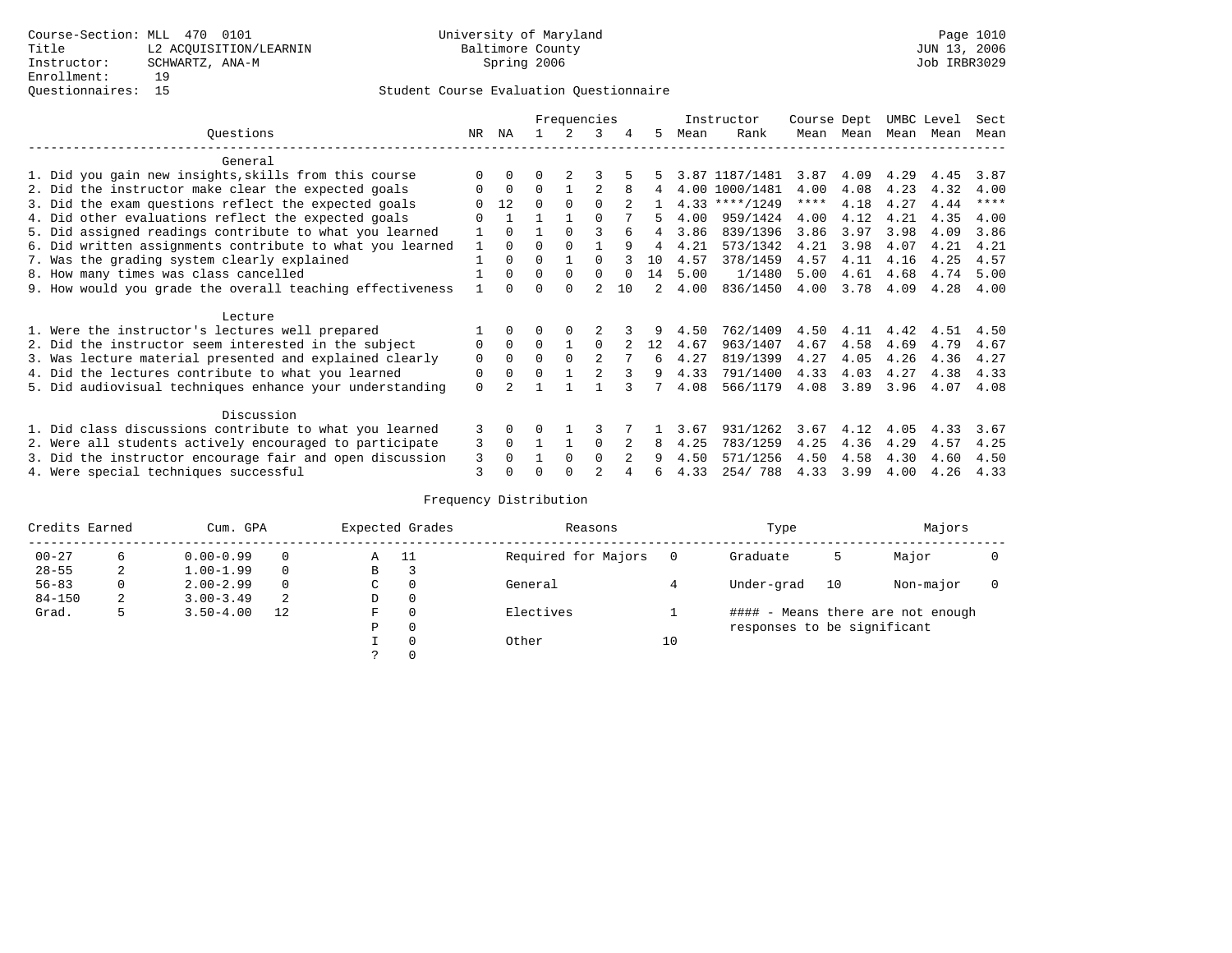|                                                           |     |              |          | Frequencies  |                |     |     |      | Instructor       | Course Dept |      | UMBC Level |      | Sect |
|-----------------------------------------------------------|-----|--------------|----------|--------------|----------------|-----|-----|------|------------------|-------------|------|------------|------|------|
| Ouestions                                                 | NR. | ΝA           |          |              | 3              | 4   | 5   | Mean | Rank             | Mean        | Mean | Mean       | Mean | Mean |
| General                                                   |     |              |          |              |                |     |     |      |                  |             |      |            |      |      |
| 1. Did you gain new insights, skills from this course     |     | $\Omega$     |          |              |                |     |     |      | 3.87 1187/1481   | 3.87        | 4.09 | 4.29       | 4.45 | 3.87 |
| 2. Did the instructor make clear the expected goals       |     | $\mathbf 0$  | $\Omega$ |              |                | 8   | 4   |      | 4.00 1000/1481   | 4.00        | 4.08 | 4.23       | 4.32 | 4.00 |
| 3. Did the exam questions reflect the expected goals      |     | 12           | $\Omega$ | $\Omega$     |                |     |     |      | $4.33$ ****/1249 | ****        | 4.18 | 4.27       | 4.44 | **** |
| 4. Did other evaluations reflect the expected goals       |     |              |          |              |                |     |     | 4.00 | 959/1424         | 4.00        | 4.12 | 4.21       | 4.35 | 4.00 |
| 5. Did assigned readings contribute to what you learned   |     | 0            |          | $\Omega$     |                |     | 4   | 3.86 | 839/1396         | 3.86        | 3.97 | 3.98       | 4.09 | 3.86 |
| 6. Did written assignments contribute to what you learned |     | $\Omega$     | U        |              |                | q   |     | 4.21 | 573/1342         | 4.21        | 3.98 | 4.07       | 4.21 | 4.21 |
| 7. Was the grading system clearly explained               |     | 0            | U        |              |                |     | 1 O | 4.57 | 378/1459         | 4.57        | 4.11 | 4.16       | 4.25 | 4.57 |
| 8. How many times was class cancelled                     |     | $\Omega$     | 0        | $\Omega$     | 0              |     | 14  | 5.00 | 1/1480           | 5.00        | 4.61 | 4.68       | 4.74 | 5.00 |
| 9. How would you grade the overall teaching effectiveness |     | <sup>n</sup> |          | <sup>n</sup> | $\mathfrak{D}$ | 1 O | 2   | 4.00 | 836/1450         | 4.00        | 3.78 | 4.09       | 4.28 | 4.00 |
| Lecture                                                   |     |              |          |              |                |     |     |      |                  |             |      |            |      |      |
| 1. Were the instructor's lectures well prepared           |     |              |          |              |                |     |     | 4.50 | 762/1409         | 4.50        | 4.11 | 4.42       | 4.51 | 4.50 |
| 2. Did the instructor seem interested in the subject      | 0   | $\Omega$     | $\Omega$ |              | $\Omega$       |     | 12  | 4.67 | 963/1407         | 4.67        | 4.58 | 4.69       | 4.79 | 4.67 |
| 3. Was lecture material presented and explained clearly   | 0   | $\Omega$     | 0        | $\Omega$     | 2              |     | б.  | 4.27 | 819/1399         | 4.27        | 4.05 | 4.26       | 4.36 | 4.27 |
| 4. Did the lectures contribute to what you learned        | 0   | 0            | $\Omega$ |              |                |     | 9   | 4.33 | 791/1400         | 4.33        | 4.03 | 4.27       | 4.38 | 4.33 |
| 5. Did audiovisual techniques enhance your understanding  | 0   |              |          |              |                |     |     | 4.08 | 566/1179         | 4.08        | 3.89 | 3.96       | 4.07 | 4.08 |
| Discussion                                                |     |              |          |              |                |     |     |      |                  |             |      |            |      |      |
| 1. Did class discussions contribute to what you learned   | 3   | 0            |          |              |                |     |     | 3.67 | 931/1262         | 3.67        | 4.12 | 4.05       | 4.33 | 3.67 |
| 2. Were all students actively encouraged to participate   | 3   | $\Omega$     |          |              | $\Omega$       |     | 8   | 4.25 | 783/1259         | 4.25        | 4.36 | 4.29       | 4.57 | 4.25 |
| 3. Did the instructor encourage fair and open discussion  | 3   |              |          | $\Omega$     | 0              |     | 9   | 4.50 | 571/1256         | 4.50        | 4.58 | 4.30       | 4.60 | 4.50 |
| 4. Were special techniques successful                     | 3   |              |          |              |                |     | F   | 4.33 | 254/788          | 4.33        | 3.99 | 4.00       | 4.26 | 4.33 |

| Credits Earned |   | Cum. GPA      |          |               | Expected Grades | Reasons             |    | Type                        |    | Majors                            |  |
|----------------|---|---------------|----------|---------------|-----------------|---------------------|----|-----------------------------|----|-----------------------------------|--|
| $00 - 27$      | 6 | $0.00 - 0.99$ |          | A             | - 11            | Required for Majors |    | Graduate                    | כ  | Major                             |  |
| $28 - 55$      | 2 | $1.00 - 1.99$ |          | В             |                 |                     |    |                             |    |                                   |  |
| $56 - 83$      | 0 | $2.00 - 2.99$ | $\Omega$ | $\sim$<br>◡   | 0               | General             |    | Under-grad                  | 10 | Non-major                         |  |
| $84 - 150$     | 2 | $3.00 - 3.49$ | 2        | D             | 0               |                     |    |                             |    |                                   |  |
| Grad.          | 5 | $3.50 - 4.00$ | 12       | F             | 0               | Electives           |    |                             |    | #### - Means there are not enough |  |
|                |   |               |          | Ρ             | 0               |                     |    | responses to be significant |    |                                   |  |
|                |   |               |          |               | 0               | Other               | 10 |                             |    |                                   |  |
|                |   |               |          | $\mathcal{L}$ |                 |                     |    |                             |    |                                   |  |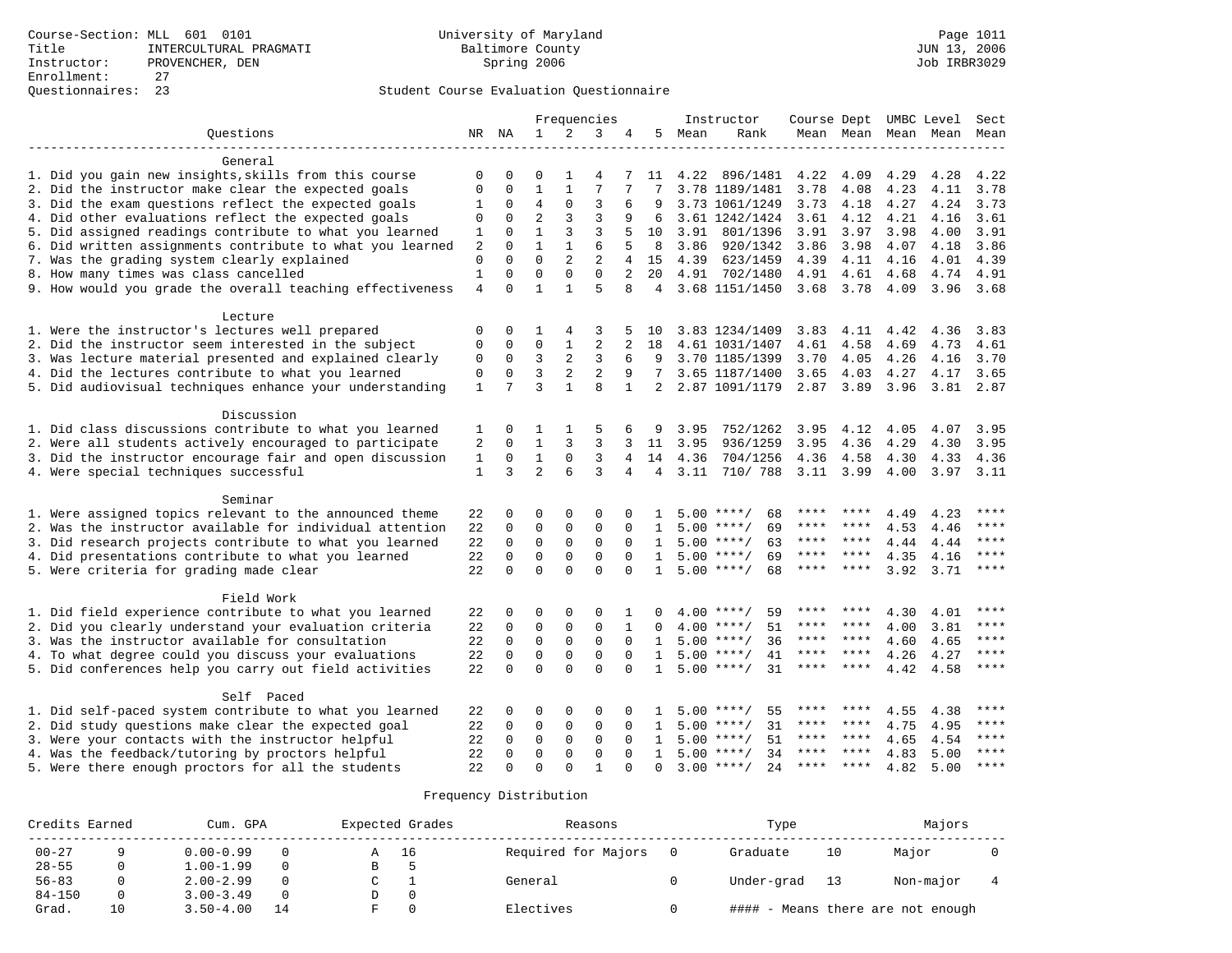|                                                           |              |              |                |              | Frequencies    |              |                |      | Instructor         | Course Dept UMBC Level |           |      |           | Sect          |
|-----------------------------------------------------------|--------------|--------------|----------------|--------------|----------------|--------------|----------------|------|--------------------|------------------------|-----------|------|-----------|---------------|
| Ouestions                                                 |              | NR NA        | $\mathbf{1}$   | 2            | 3              | 4            | 5              | Mean | Rank               |                        | Mean Mean |      | Mean Mean | Mean          |
| General                                                   |              |              |                |              |                |              |                |      |                    |                        |           |      |           |               |
| 1. Did you gain new insights, skills from this course     | 0            | $\Omega$     | 0              | 1            | 4              |              | 11             | 4.22 | 896/1481           | 4.22                   | 4.09      | 4.29 | 4.28      | 4.22          |
| 2. Did the instructor make clear the expected goals       | $\mathbf{0}$ | $\mathbf 0$  | $\mathbf 1$    | $\mathbf{1}$ | 7              | 7            | 7              |      | 3.78 1189/1481     | 3.78                   | 4.08      | 4.23 | 4.11      | 3.78          |
| 3. Did the exam questions reflect the expected goals      | 1            | $\mathbf{0}$ | $\overline{4}$ | $\mathbf 0$  | 3              | 6            | 9              |      | 3.73 1061/1249     | 3.73                   | 4.18      | 4.27 | 4.24      | 3.73          |
| 4. Did other evaluations reflect the expected goals       | $\mathbf 0$  | $\mathbf{0}$ | $\overline{2}$ | 3            | $\overline{3}$ | 9            | 6              |      | 3.61 1242/1424     | 3.61                   | 4.12      | 4.21 | 4.16      | 3.61          |
| 5. Did assigned readings contribute to what you learned   | 1            | $\Omega$     | $\mathbf{1}$   | 3            | 3              |              | 10             | 3.91 | 801/1396           | 3.91                   | 3.97      | 3.98 | 4.00      | 3.91          |
| 6. Did written assignments contribute to what you learned | 2            | $\Omega$     | $\mathbf{1}$   | $\mathbf{1}$ | 6              | 5            | 8              | 3.86 | 920/1342           | 3.86                   | 3.98      | 4.07 | 4.18      | 3.86          |
| 7. Was the grading system clearly explained               | $\mathbf{0}$ | $\Omega$     | $\Omega$       | 2            | $\overline{2}$ | 4            | 15             | 4.39 | 623/1459           | 4.39                   | 4.11      | 4.16 | 4.01      | 4.39          |
| 8. How many times was class cancelled                     | $\mathbf{1}$ | $\Omega$     | $\mathbf 0$    | $\mathbf 0$  | $\Omega$       | 2            | 20             |      | 4.91 702/1480      | 4.91                   | 4.61      | 4.68 | 4.74      | 4.91          |
| 9. How would you grade the overall teaching effectiveness | 4            | 0            | $\mathbf{1}$   | $\mathbf{1}$ | 5              | 8            | 4              |      | 3.68 1151/1450     | 3.68                   | 3.78      | 4.09 | 3.96      | 3.68          |
| Lecture                                                   |              |              |                |              |                |              |                |      |                    |                        |           |      |           |               |
| 1. Were the instructor's lectures well prepared           | $\Omega$     | $\Omega$     | 1              | 4            | 3              |              | 10             |      | 3.83 1234/1409     | 3.83                   | 4.11      | 4.42 | 4.36      | 3.83          |
| 2. Did the instructor seem interested in the subject      | $\mathbf 0$  | $\Omega$     | $\mathbf 0$    | $\mathbf{1}$ | $\overline{2}$ | 2            | 18             |      | 4.61 1031/1407     | 4.61                   | 4.58      | 4.69 | 4.73      | 4.61          |
| 3. Was lecture material presented and explained clearly   | $\mathbf 0$  | $\mathbf 0$  | 3              | 2            | 3              | 6            | 9              |      | 3.70 1185/1399     | 3.70                   | 4.05      | 4.26 | 4.16      | 3.70          |
| 4. Did the lectures contribute to what you learned        | $\mathbf{0}$ | $\mathbf 0$  | $\overline{3}$ | 2            | $\overline{2}$ | 9            | 7              |      | 3.65 1187/1400     | 3.65                   | 4.03      | 4.27 | 4.17      | 3.65          |
| 5. Did audiovisual techniques enhance your understanding  | $\mathbf{1}$ | 7            | 3              | $\mathbf{1}$ | 8              | $\mathbf{1}$ | $\overline{2}$ |      | 2.87 1091/1179     | 2.87                   | 3.89      | 3.96 | 3.81 2.87 |               |
| Discussion                                                |              |              |                |              |                |              |                |      |                    |                        |           |      |           |               |
| 1. Did class discussions contribute to what you learned   | 1            | $\Omega$     | 1              | 1            | 5              | 6            | 9              | 3.95 | 752/1262           | 3.95                   | 4.12      | 4.05 | 4.07      | 3.95          |
| 2. Were all students actively encouraged to participate   | 2            | $\Omega$     | $\mathbf{1}$   | 3            | 3              | 3            | 11             | 3.95 | 936/1259           | 3.95                   | 4.36      | 4.29 | 4.30      | 3.95          |
| 3. Did the instructor encourage fair and open discussion  | $1\,$        | 0            | $\mathbf{1}$   | $\mathbf 0$  | 3              | 4            | 14             | 4.36 | 704/1256           | 4.36                   | 4.58      | 4.30 | 4.33      | 4.36          |
| 4. Were special techniques successful                     | $\mathbf{1}$ | 3            | $\overline{a}$ | 6            | 3              | 4            | 4              | 3.11 | 710/ 788           | 3.11                   | 3.99      | 4.00 |           | $3.97$ $3.11$ |
| Seminar                                                   |              |              |                |              |                |              |                |      |                    |                        |           |      |           |               |
| 1. Were assigned topics relevant to the announced theme   | 22           | $\mathbf 0$  | 0              | 0            | 0              | $\Omega$     |                |      | $5.00$ ****/<br>68 | ****                   | ****      | 4.49 | 4.23      | ****          |
| 2. Was the instructor available for individual attention  | 22           | $\mathbf 0$  | $\mathbf 0$    | $\mathbf{0}$ | $\mathbf 0$    | $\Omega$     | 1              |      | $5.00$ ****/<br>69 | ****                   |           | 4.53 | 4.46      | ****          |
| 3. Did research projects contribute to what you learned   | 22           | $\Omega$     | $\mathbf 0$    | $\mathbf{0}$ | $\mathbf 0$    | $\Omega$     | 1              | 5.00 | $***/$<br>63       | ****                   | ****      | 4.44 | 4.44      | ****          |
| 4. Did presentations contribute to what you learned       | 22           | $\Omega$     | $\mathbf 0$    | $\mathbf 0$  | $\mathbf 0$    | $\Omega$     | 1              |      | $5.00$ ****/<br>69 | $***$ * *              | ****      | 4.35 | 4.16      | $***$         |
| 5. Were criteria for grading made clear                   | 22           | $\Omega$     | $\Omega$       | $\Omega$     | $\Omega$       | $\Omega$     | $\mathbf{1}$   |      | $5.00$ ****/<br>68 | ****                   | $***$ *   | 3.92 | 3.71      | ****          |
| Field Work                                                |              |              |                |              |                |              |                |      |                    |                        |           |      |           |               |
| 1. Did field experience contribute to what you learned    | 22           | $\mathbf 0$  | 0              | 0            | 0              | 1            | $\Omega$       | 4.00 | 59<br>$***$ /      |                        |           | 4.30 | 4.01      |               |
| 2. Did you clearly understand your evaluation criteria    | 22           | $\mathbf 0$  | $\mathbf 0$    | $\mathbf{0}$ | $\mathbf 0$    | 1            | 0              | 4.00 | 51<br>$***/$       | ****                   | ****      | 4.00 | 3.81      | ****          |
| 3. Was the instructor available for consultation          | 22           | $\Omega$     | $\Omega$       | $\Omega$     | $\Omega$       | $\Omega$     | $\mathbf{1}$   | 5.00 | 36<br>$***/$       | ****                   | ****      | 4.60 | 4.65      | $***$         |
| 4. To what degree could you discuss your evaluations      | 22           | $\Omega$     | $\mathbf 0$    | $\mathbf 0$  | $\mathbf 0$    | $\Omega$     | 1              | 5.00 | $***$ /<br>41      | ****                   | ****      | 4.26 | 4.27      | $***$         |
| 5. Did conferences help you carry out field activities    | 22           | $\Omega$     | $\Omega$       | $\Omega$     | $\Omega$       | $\Omega$     | $\mathbf{1}$   |      | $5.00$ ****/<br>31 | ****                   | ****      | 4.42 | 4.58      | ****          |
| Self Paced                                                |              |              |                |              |                |              |                |      |                    |                        |           |      |           |               |
| 1. Did self-paced system contribute to what you learned   | 22           | $\mathbf 0$  | 0              | 0            | 0              | 0            |                | 5.00 | $***/$<br>55       |                        |           | 4.55 | 4.38      |               |
| 2. Did study questions make clear the expected goal       | 22           | $\mathbf 0$  | $\mathbf 0$    | $\mathbf{0}$ | $\mathbf 0$    | $\mathbf 0$  | 1              | 5.00 | 31<br>$***$ /      | ****                   | ****      | 4.75 | 4.95      | ****          |
| 3. Were your contacts with the instructor helpful         | 22           | $\Omega$     | $\mathbf 0$    | $\mathbf 0$  | $\mathbf 0$    | $\Omega$     | $\mathbf{1}$   | 5.00 | $***/$<br>51       | ****                   | ****      | 4.65 | 4.54      | ****          |
| 4. Was the feedback/tutoring by proctors helpful          | 22           | $\Omega$     | $\mathbf 0$    | $\mathbf 0$  | $\mathbf 0$    | $\Omega$     | $\mathbf{1}$   | 5.00 | 34<br>$***$ /      |                        | ****      | 4.83 | 5.00      | ****          |
| 5. Were there enough proctors for all the students        | 22           | $\Omega$     | $\Omega$       | $\Omega$     | $\mathbf{1}$   | $\Omega$     | $\Omega$       |      | $3.00$ ****/<br>24 | ****                   | $***$     | 4.82 | 5.00      | ****          |

| Credits Earned |    | Cum. GPA      |   | Expected Grades | Reasons             | Type       |    | Majors                            |  |
|----------------|----|---------------|---|-----------------|---------------------|------------|----|-----------------------------------|--|
| $00 - 27$      |    | $0.00 - 0.99$ |   | 16              | Required for Majors | Graduate   | 10 | Major                             |  |
| $28 - 55$      |    | $1.00 - 1.99$ | В |                 |                     |            |    |                                   |  |
| $56 - 83$      |    | $2.00 - 2.99$ |   |                 | General             | Under-grad | 13 | Non-major                         |  |
| $84 - 150$     |    | $3.00 - 3.49$ |   |                 |                     |            |    |                                   |  |
| Grad.          | 10 | $3.50 - 4.00$ |   |                 | Electives           |            |    | #### - Means there are not enough |  |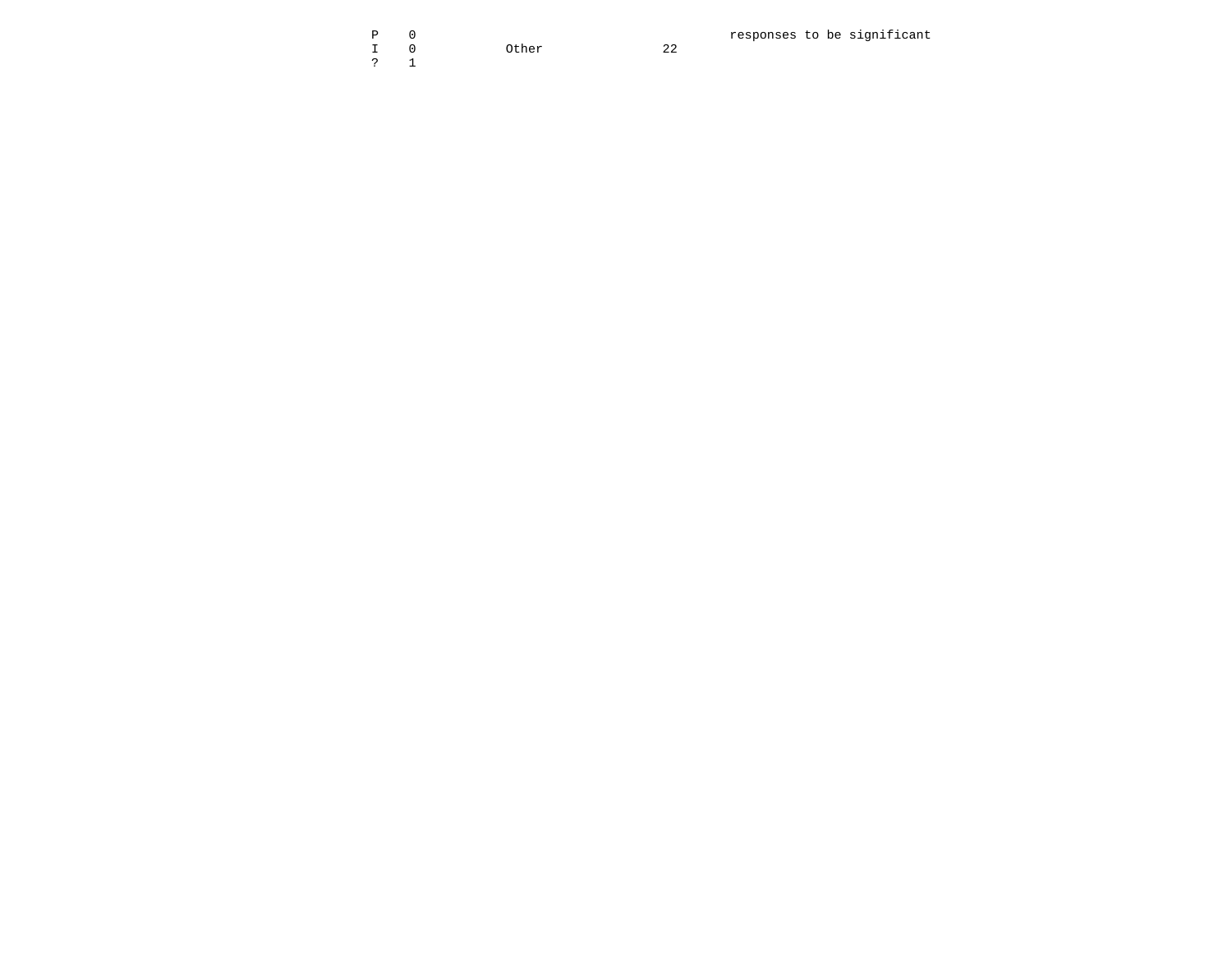I 0 Other 22 . The contract of the contract of the contract of the contract of the contract of the contract of the contract of the contract of the contract of the contract of the contract of the contract of the contract of the contrac

22

P 0 responses to be significant 1 0 0 0 0 0 0 0 0 0 0 0 0 0 0  $22$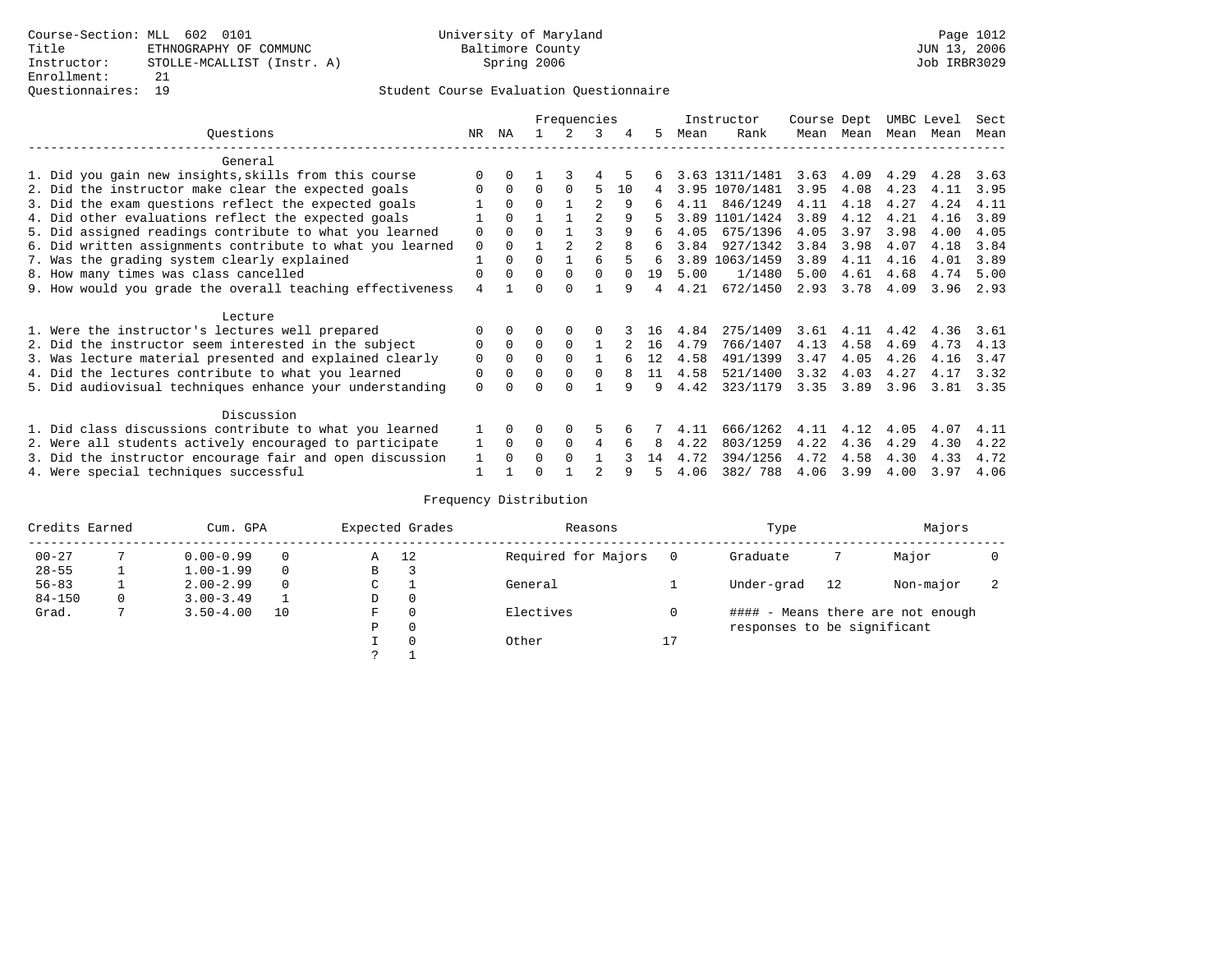### Questionnaires: 19 Student Course Evaluation Questionnaire

|                                                           |             |          |          | Frequencies    |                |    |    |      | Instructor     | Course Dept |           |      | UMBC Level | Sect |
|-----------------------------------------------------------|-------------|----------|----------|----------------|----------------|----|----|------|----------------|-------------|-----------|------|------------|------|
| Ouestions                                                 | NR          | ΝA       |          | 2              | 3              | 4  | 5  | Mean | Rank           |             | Mean Mean | Mean | Mean       | Mean |
| General                                                   |             |          |          |                |                |    |    |      |                |             |           |      |            |      |
| 1. Did you gain new insights, skills from this course     |             | 0        |          |                | 4              |    |    |      | 3.63 1311/1481 | 3.63        | 4.09      | 4.29 | 4.28       | 3.63 |
| 2. Did the instructor make clear the expected goals       |             | $\Omega$ | $\Omega$ | $\Omega$       | 5              | 10 | 4  |      | 3.95 1070/1481 | 3.95        | 4.08      | 4.23 | 4.11       | 3.95 |
| 3. Did the exam questions reflect the expected goals      |             | $\Omega$ | $\Omega$ |                |                | 9  | б. | 4.11 | 846/1249       | 4.11        | 4.18      | 4.27 | 4.24       | 4.11 |
| 4. Did other evaluations reflect the expected goals       |             | $\Omega$ |          |                | $\mathfrak{D}$ | 9  |    | 3.89 | 1101/1424      | 3.89        | 4.12      | 4.21 | 4.16       | 3.89 |
| 5. Did assigned readings contribute to what you learned   | 0           | $\Omega$ | 0        |                | ς              | 9  | б. | 4.05 | 675/1396       | 4.05        | 3.97      | 3.98 | 4.00       | 4.05 |
| 6. Did written assignments contribute to what you learned | $\mathbf 0$ | $\Omega$ |          | $\mathfrak{D}$ | 2              | 8  | 6  | 3.84 | 927/1342       | 3.84        | 3.98      | 4.07 | 4.18       | 3.84 |
| 7. Was the grading system clearly explained               |             | $\Omega$ | U        |                |                |    | 6  | 3.89 | 1063/1459      | 3.89        | 4.11      | 4.16 | 4.01       | 3.89 |
| 8. How many times was class cancelled                     | 0           | $\Omega$ | $\Omega$ | $\Omega$       | $\Omega$       |    | 19 | 5.00 | 1/1480         | 5.00        | 4.61      | 4.68 | 4.74       | 5.00 |
| 9. How would you grade the overall teaching effectiveness | 4           |          |          | <sup>n</sup>   |                | q  | 4  | 4.21 | 672/1450       | 2.93        | 3.78      | 4.09 | 3.96       | 2.93 |
| Lecture                                                   |             |          |          |                |                |    |    |      |                |             |           |      |            |      |
| 1. Were the instructor's lectures well prepared           |             | $\Omega$ |          | $\Omega$       |                |    | 16 | 4.84 | 275/1409       | 3.61        | 4.11      | 4.42 | 4.36       | 3.61 |
| 2. Did the instructor seem interested in the subject      | 0           | $\Omega$ | $\Omega$ | $\Omega$       |                |    | 16 | 4.79 | 766/1407       | 4.13        | 4.58      | 4.69 | 4.73       | 4.13 |
| 3. Was lecture material presented and explained clearly   | 0           | 0        | 0        | $\Omega$       |                |    | 12 | 4.58 | 491/1399       | 3.47        | 4.05      | 4.26 | 4.16       | 3.47 |
| 4. Did the lectures contribute to what you learned        | 0           | $\Omega$ | 0        | $\Omega$       | 0              |    | 11 | 4.58 | 521/1400       | 3.32        | 4.03      | 4.27 | 4.17       | 3.32 |
| 5. Did audiovisual techniques enhance your understanding  | 0           |          |          |                |                | q  | q  | 4.42 | 323/1179       | 3.35        | 3.89      | 3.96 | 3.81       | 3.35 |
| Discussion                                                |             |          |          |                |                |    |    |      |                |             |           |      |            |      |
| 1. Did class discussions contribute to what you learned   |             | $\Omega$ | 0        | $\Omega$       | 5              |    |    | 4.11 | 666/1262       | 4.11        | 4.12      | 4.05 | 4.07       | 4.11 |
| 2. Were all students actively encouraged to participate   |             |          | $\Omega$ | $\mathbf 0$    | 4              | 6  | 8  | 4.22 | 803/1259       | 4.22        | 4.36      | 4.29 | 4.30       | 4.22 |
| 3. Did the instructor encourage fair and open discussion  |             | $\Omega$ | U        | $\Omega$       |                |    | 14 | 4.72 | 394/1256       | 4.72        | 4.58      | 4.30 | 4.33       | 4.72 |
| 4. Were special techniques successful                     |             |          |          |                |                | q  |    | 4.06 | 382/788        | 4.06        | 3.99      | 4.00 | 3.97       | 4.06 |

| Credits Earned |              | Cum. GPA      |          |   | Expected Grades | Reasons             |          | Type                        |    | Majors                            |  |
|----------------|--------------|---------------|----------|---|-----------------|---------------------|----------|-----------------------------|----|-----------------------------------|--|
| $00 - 27$      |              | $0.00 - 0.99$ | $\Omega$ | Α | 12              | Required for Majors |          | Graduate                    |    | Major                             |  |
| $28 - 55$      |              | $1.00 - 1.99$ | $\Omega$ | В | 3               |                     |          |                             |    |                                   |  |
| $56 - 83$      |              | $2.00 - 2.99$ | $\Omega$ | С |                 | General             |          | Under-grad                  | 12 | Non-major                         |  |
| $84 - 150$     | $\mathbf{0}$ | $3.00 - 3.49$ |          | D | 0               |                     |          |                             |    |                                   |  |
| Grad.          |              | $3.50 - 4.00$ | 10       | F | $\mathbf{0}$    | Electives           | $\Omega$ |                             |    | #### - Means there are not enough |  |
|                |              |               |          | Ρ | $\mathbf{0}$    |                     |          | responses to be significant |    |                                   |  |
|                |              |               |          |   | $\Omega$        | Other               | 17       |                             |    |                                   |  |
|                |              |               |          | っ |                 |                     |          |                             |    |                                   |  |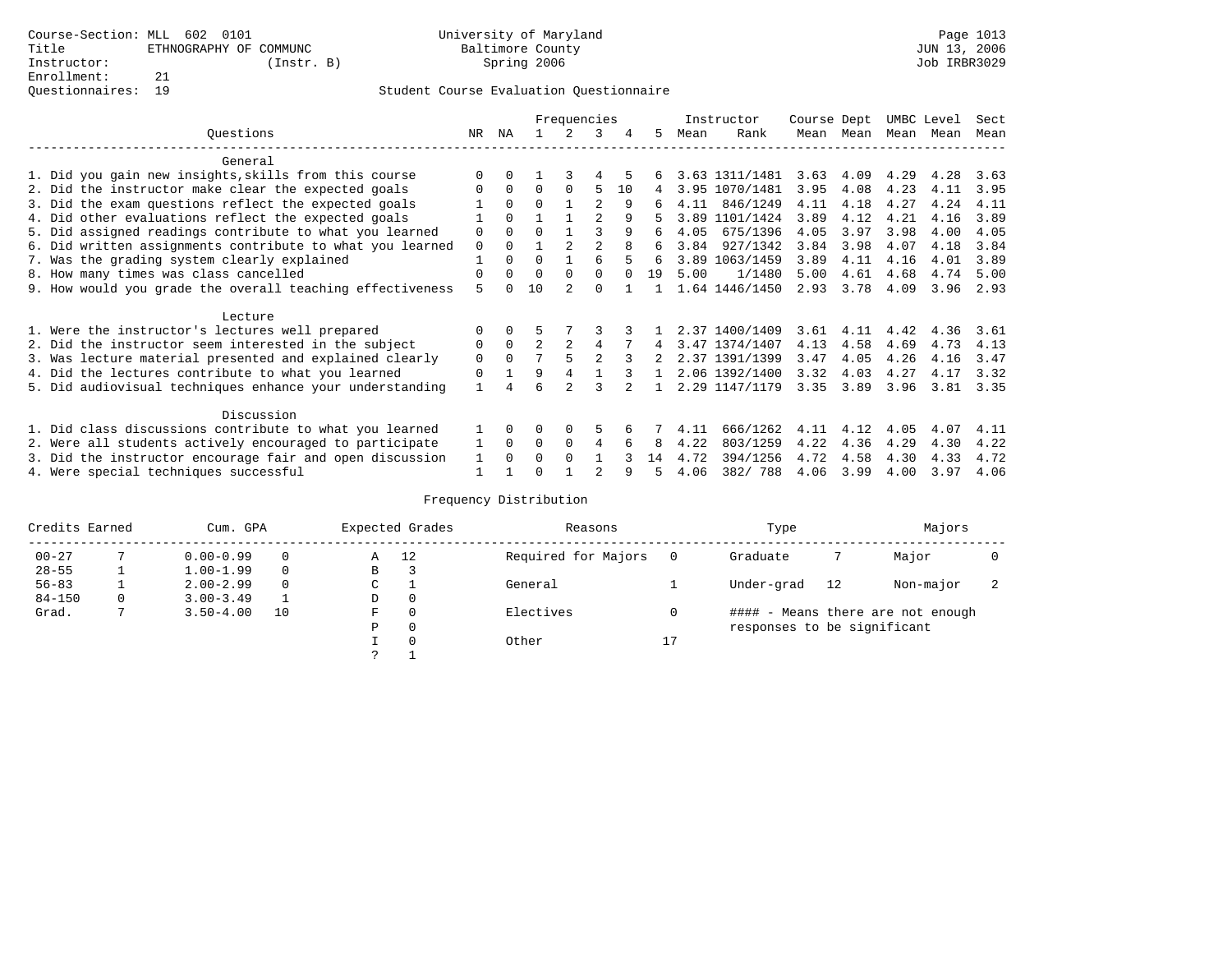|                                                           |              |          |                | Frequencies    |                |          |    |      | Instructor     | Course Dept |           | UMBC Level |      | Sect |
|-----------------------------------------------------------|--------------|----------|----------------|----------------|----------------|----------|----|------|----------------|-------------|-----------|------------|------|------|
| Ouestions                                                 | NR           | ΝA       |                | $\mathcal{L}$  | 3              | 4        | 5  | Mean | Rank           |             | Mean Mean | Mean Mean  |      | Mean |
| General                                                   |              |          |                |                |                |          |    |      |                |             |           |            |      |      |
| 1. Did you gain new insights, skills from this course     |              | $\Omega$ |                | 3              | 4              |          |    |      | 3.63 1311/1481 | 3.63        | 4.09      | 4.29       | 4.28 | 3.63 |
| 2. Did the instructor make clear the expected goals       |              | $\Omega$ | $\Omega$       | $\Omega$       | 5              | 10       | 4  |      | 3.95 1070/1481 | 3.95        | 4.08      | 4.23       | 4.11 | 3.95 |
| 3. Did the exam questions reflect the expected goals      |              | $\Omega$ | $\Omega$       |                | 2              | 9        | 6  | 4.11 | 846/1249       | 4.11        | 4.18      | 4.27       | 4.24 | 4.11 |
| 4. Did other evaluations reflect the expected goals       |              | $\Omega$ |                |                | 2              | 9        |    | 3.89 | 1101/1424      | 3.89        | 4.12      | 4.21       | 4.16 | 3.89 |
| 5. Did assigned readings contribute to what you learned   | 0            | $\Omega$ | $\Omega$       |                | ζ              | 9        | 6  | 4.05 | 675/1396       | 4.05        | 3.97      | 3.98       | 4.00 | 4.05 |
| 6. Did written assignments contribute to what you learned | $\mathbf 0$  | $\Omega$ |                | $\mathfrak{D}$ | 2              | 8        | 6  | 3.84 | 927/1342       | 3.84        | 3.98      | 4.07       | 4.18 | 3.84 |
| 7. Was the grading system clearly explained               |              | $\Omega$ | $\Omega$       |                | F              |          | 6  | 3.89 | 1063/1459      | 3.89        | 4.11      | 4.16       | 4.01 | 3.89 |
| 8. How many times was class cancelled                     | 0            | 0        | $\Omega$       | $\Omega$       | $\Omega$       | $\Omega$ | 19 | 5.00 | 1/1480         | 5.00        | 4.61      | 4.68       | 4.74 | 5.00 |
| 9. How would you grade the overall teaching effectiveness | 5            |          | 10             | $\mathfrak{D}$ | <sup>n</sup>   |          |    |      | 1.64 1446/1450 | 2.93        | 3.78      | 4.09       | 3.96 | 2.93 |
| Lecture                                                   |              |          |                |                |                |          |    |      |                |             |           |            |      |      |
| 1. Were the instructor's lectures well prepared           |              |          |                |                |                |          |    |      | 2.37 1400/1409 | 3.61        | 4.11      | 4.42       | 4.36 | 3.61 |
| 2. Did the instructor seem interested in the subject      | 0            | $\Omega$ | $\overline{2}$ | 2              |                |          | 4  |      | 3.47 1374/1407 | 4.13        | 4.58      | 4.69       | 4.73 | 4.13 |
| 3. Was lecture material presented and explained clearly   | 0            | $\Omega$ |                | 5              | $\mathfrak{D}$ |          |    |      | 2.37 1391/1399 | 3.47        | 4.05      | 4.26       | 4.16 | 3.47 |
| 4. Did the lectures contribute to what you learned        | $\Omega$     |          | 9              | 4              |                |          |    |      | 2.06 1392/1400 | 3.32        | 4.03      | 4.27       | 4.17 | 3.32 |
| 5. Did audiovisual techniques enhance your understanding  | $\mathbf{1}$ |          | б              |                |                |          |    |      | 2.29 1147/1179 | 3.35        | 3.89      | 3.96       | 3.81 | 3.35 |
| Discussion                                                |              |          |                |                |                |          |    |      |                |             |           |            |      |      |
| 1. Did class discussions contribute to what you learned   |              | $\Omega$ |                | $\Omega$       | 5              |          |    | 4.11 | 666/1262       | 4.11        | 4.12      | 4.05       | 4.07 | 4.11 |
| 2. Were all students actively encouraged to participate   |              |          | $\Omega$       | $\Omega$       | 4              | 6        | 8  | 4.22 | 803/1259       | 4.22        | 4.36      | 4.29       | 4.30 | 4.22 |
| 3. Did the instructor encourage fair and open discussion  | 1            | $\Omega$ | U              | $\Omega$       |                |          | 14 | 4.72 | 394/1256       | 4.72        | 4.58      | 4.30       | 4.33 | 4.72 |
| 4. Were special techniques successful                     |              |          |                |                |                | q        |    | 4.06 | 382/788        | 4.06        | 3.99      | 4.00       | 3.97 | 4.06 |

| Credits Earned |   | Cum. GPA      |          | Expected Grades | Reasons        |                     | Type | Majors                            |    |           |  |
|----------------|---|---------------|----------|-----------------|----------------|---------------------|------|-----------------------------------|----|-----------|--|
| $00 - 27$      |   | $0.00 - 0.99$ |          | Α               | 12             | Required for Majors | 0    | Graduate                          |    | Major     |  |
| $28 - 55$      | ┻ | $1.00 - 1.99$ | $\Omega$ | В               | 3              |                     |      |                                   |    |           |  |
| $56 - 83$      |   | $2.00 - 2.99$ |          | $\sim$<br>J     |                | General             |      | Under-grad                        | 12 | Non-major |  |
| $84 - 150$     | 0 | $3.00 - 3.49$ |          | D               | 0              |                     |      |                                   |    |           |  |
| Grad.          |   | $3.50 - 4.00$ | 10       | F               | Electives<br>0 |                     | 0    | #### - Means there are not enough |    |           |  |
|                |   |               |          | Ρ               | 0              |                     |      | responses to be significant       |    |           |  |
|                |   |               |          |                 | $\Omega$       | Other               | 17   |                                   |    |           |  |
|                |   |               |          | C               |                |                     |      |                                   |    |           |  |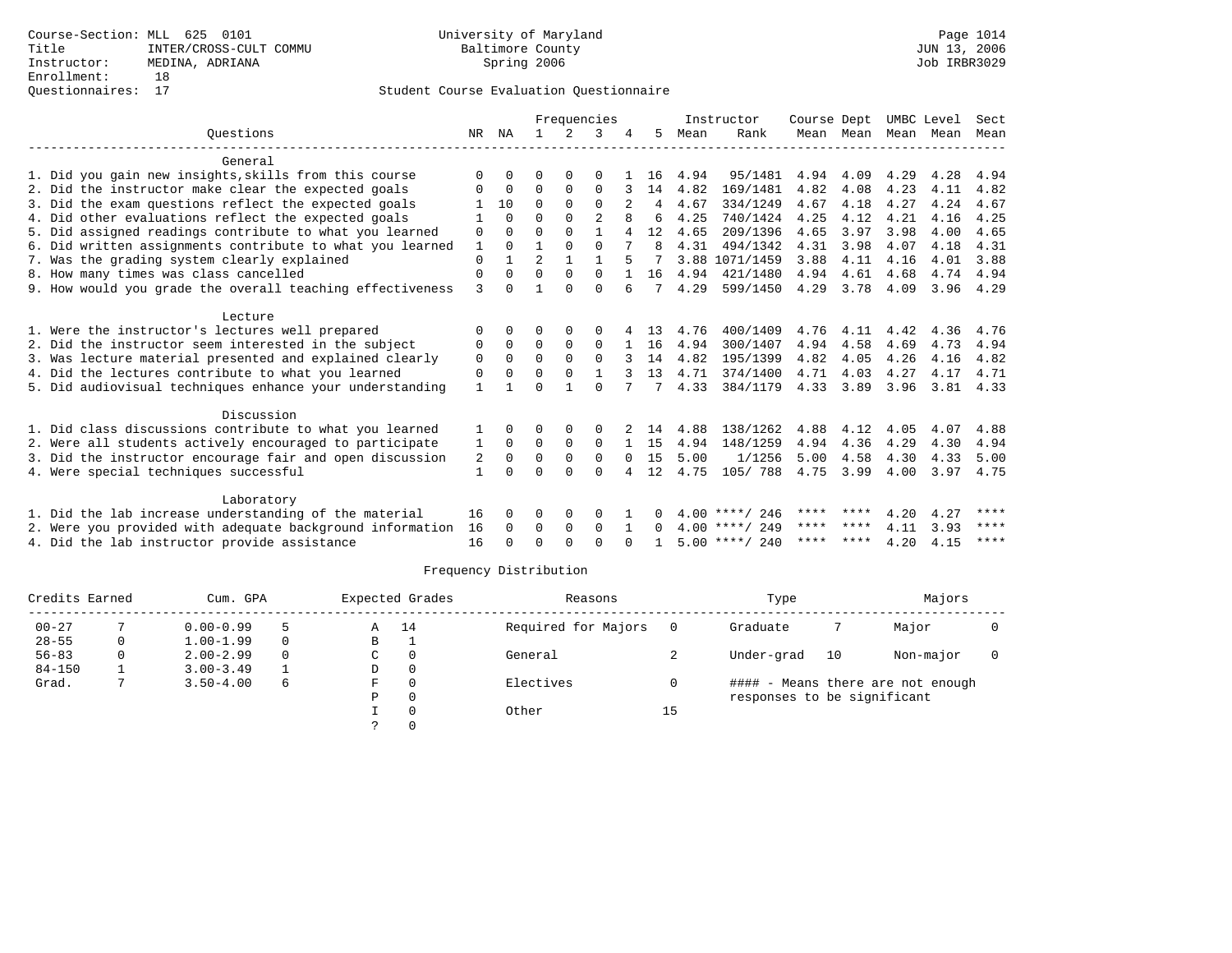|                 |                                                                                                           |              |                |                |                       | Frequencies          |          |          |      | Instructor       | Course Dept |           | UMBC Level |              | Sect        |
|-----------------|-----------------------------------------------------------------------------------------------------------|--------------|----------------|----------------|-----------------------|----------------------|----------|----------|------|------------------|-------------|-----------|------------|--------------|-------------|
| Ouestions<br>NR |                                                                                                           |              |                |                |                       | 3                    |          | 5        | Mean | Rank             |             | Mean Mean | Mean       | Mean         | Mean        |
|                 | General                                                                                                   |              |                |                |                       |                      |          |          |      |                  |             |           |            |              |             |
|                 | 1. Did you gain new insights, skills from this course                                                     | $\Omega$     | $\Omega$       | U              | $\Omega$              | O                    |          | 16       | 4.94 | 95/1481          | 4.94        | 4.09      | 4.29       | 4.28         | 4.94        |
|                 | 2. Did the instructor make clear the expected goals                                                       | O            | $\Omega$       | $\Omega$       | $\Omega$              | $\Omega$             |          | 14       | 4.82 | 169/1481         | 4.82        | 4.08      | 4.23       | 4.11         | 4.82        |
|                 | 3. Did the exam questions reflect the expected goals                                                      |              | 10             | $\Omega$       | $\Omega$              | $\Omega$             |          | 4        | 4.67 | 334/1249         | 4.67        | 4.18      | 4.27       | 4.24         | 4.67        |
|                 | 4. Did other evaluations reflect the expected goals                                                       |              | $\Omega$       | $\Omega$       | $\Omega$              | $\overline{2}$       | 8        | 6        | 4.25 | 740/1424         | 4.25        | 4.12      | 4.21       | 4.16         | 4.25        |
|                 | 5. Did assigned readings contribute to what you learned                                                   | 0            | $\Omega$       | U              | $\Omega$              | $\mathbf{1}$         |          | 12       | 4.65 | 209/1396         | 4.65        | 3.97      | 3.98       | 4.00         | 4.65        |
|                 | 6. Did written assignments contribute to what you learned                                                 | 1            | $\Omega$       |                | $\Omega$              | $\Omega$             |          | 8        | 4.31 | 494/1342         | 4.31        | 3.98      | 4.07       | 4.18         | 4.31        |
|                 | 7. Was the grading system clearly explained                                                               | 0            | $\overline{1}$ | $\overline{a}$ | $\mathbf{1}$          |                      |          |          |      | 3.88 1071/1459   | 3.88        | 4.11      | 4.16       | 4.01         | 3.88        |
|                 | 8. How many times was class cancelled                                                                     | 0            | $\Omega$       | $\Omega$       | $\Omega$              | $\Omega$             |          | 16       | 4.94 | 421/1480         | 4.94        | 4.61      | 4.68       | 4.74         | 4.94        |
|                 | 9. How would you grade the overall teaching effectiveness                                                 | 3            | $\cap$         |                | $\cap$                | $\Omega$             | 6        | 7        | 4.29 | 599/1450         | 4.29        | 3.78      | 4.09       | 3.96         | 4.29        |
|                 | Lecture                                                                                                   |              |                |                |                       |                      |          |          |      |                  |             |           |            |              |             |
|                 | 1. Were the instructor's lectures well prepared                                                           | 0            | $\Omega$       | U              | $\Omega$              | $\Omega$             |          | 13       | 4.76 | 400/1409         | 4.76        | 4.11      | 4.42       | 4.36         | 4.76        |
|                 | 2. Did the instructor seem interested in the subject                                                      | $\Omega$     | $\Omega$       | $\Omega$       | $\Omega$              | $\Omega$             |          | 16       | 4.94 | 300/1407         | 4.94        | 4.58      | 4.69       | 4.73         | 4.94        |
|                 | 3. Was lecture material presented and explained clearly                                                   | 0            | $\Omega$       | $\Omega$       | $\Omega$              | $\Omega$             |          | 14       | 4.82 | 195/1399         | 4.82        | 4.05      | 4.26       | 4.16         | 4.82        |
|                 | 4. Did the lectures contribute to what you learned                                                        | 0            | $\Omega$       | O              | $\Omega$              |                      |          | 13       | 4.71 | 374/1400         | 4.71        | 4.03      | 4.27       | 4.17         | 4.71        |
|                 | 5. Did audiovisual techniques enhance your understanding                                                  | $\mathbf{1}$ |                | U              |                       | $\Omega$             |          |          | 4.33 | 384/1179         | 4.33 3.89   |           | 3.96       | 3.81         | 4.33        |
|                 | Discussion                                                                                                |              |                |                |                       |                      |          |          |      |                  |             |           |            |              |             |
|                 | 1. Did class discussions contribute to what you learned                                                   | 1            | $\Omega$       | 0              | 0                     | 0                    |          | 14       | 4.88 | 138/1262         | 4.88        | 4.12      | 4.05       | 4.07         | 4.88        |
|                 | 2. Were all students actively encouraged to participate                                                   | 1            | $\mathbf{0}$   | 0              | $\mathbf 0$           | 0                    |          | 15       | 4.94 | 148/1259         | 4.94        | 4.36      | 4.29       | 4.30         | 4.94        |
|                 | 3. Did the instructor encourage fair and open discussion                                                  | 2            | 0              | $\Omega$       | $\Omega$              | $\Omega$             | $\Omega$ | 15       | 5.00 | 1/1256           | 5.00        | 4.58      | 4.30       | 4.33         | 5.00        |
|                 | 4. Were special techniques successful                                                                     | 1            | $\Omega$       | U              | $\Omega$              | $\Omega$             | 4        | 12       | 4.75 | 105/788          | 4.75        | 3.99      | 4.00       | 3.97         | 4.75        |
|                 |                                                                                                           |              |                |                |                       |                      |          |          |      |                  |             |           |            |              |             |
|                 | Laboratory                                                                                                |              |                |                |                       |                      |          |          |      | $4.00$ ****/ 246 | **** ****   |           | 4.20       |              | ****        |
|                 | 1. Did the lab increase understanding of the material                                                     | 16           | $\Omega$       | $\Omega$       | 0                     | $\Omega$<br>$\Omega$ |          | $\Omega$ |      | $4.00$ ****/ 249 | **** ****   |           | 4.11       | 4.27<br>3.93 | $***$ * * * |
|                 | 2. Were you provided with adequate background information<br>4. Did the lab instructor provide assistance | 16<br>16     | $\Omega$       | 0<br>U         | $\mathbf 0$<br>$\cap$ | $\Omega$             |          |          |      | $5.00$ ****/ 240 |             | **** **** | 4.20       | 4.15         | $***$ * * * |
|                 |                                                                                                           |              |                |                |                       |                      |          |          |      |                  |             |           |            |              |             |

| Credits Earned |   | Cum. GPA      | Expected Grades |   | Reasons  |                     | Type | Majors                      |    |                                   |  |
|----------------|---|---------------|-----------------|---|----------|---------------------|------|-----------------------------|----|-----------------------------------|--|
| $00 - 27$      |   | $0.00 - 0.99$ |                 | А | 14       | Required for Majors | - 0  | Graduate                    |    | Major                             |  |
| $28 - 55$      | 0 | $1.00 - 1.99$ | $\Omega$        | в |          |                     |      |                             |    |                                   |  |
| $56 - 83$      | 0 | $2.00 - 2.99$ | $\Omega$        | C | $\Omega$ | General             |      | Under-grad                  | 10 | Non-major                         |  |
| $84 - 150$     |   | $3.00 - 3.49$ |                 | D | 0        |                     |      |                             |    |                                   |  |
| Grad.          |   | $3.50 - 4.00$ | 6               | F | $\Omega$ | Electives           |      |                             |    | #### - Means there are not enough |  |
|                |   |               |                 | Ρ | $\Omega$ |                     |      | responses to be significant |    |                                   |  |
|                |   |               |                 |   |          | Other               | 15   |                             |    |                                   |  |
|                |   |               |                 |   |          |                     |      |                             |    |                                   |  |